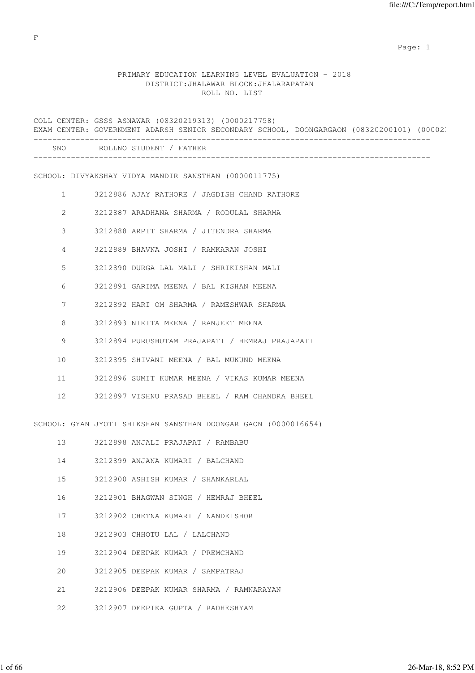# PRIMARY EDUCATION LEARNING LEVEL EVALUATION - 2018 DISTRICT:JHALAWAR BLOCK:JHALARAPATAN ROLL NO. LIST

COLL CENTER: GSSS ASNAWAR (08320219313) (0000217758) EXAM CENTER: GOVERNMENT ADARSH SENIOR SECONDARY SCHOOL, DOONGARGAON (08320200101) (000021 ------------------------------------------------------------------------------------- SNO ROLLNO STUDENT / FATHER ------------------------------------------------------------------------------------- SCHOOL: DIVYAKSHAY VIDYA MANDIR SANSTHAN (0000011775) 1 3212886 AJAY RATHORE / JAGDISH CHAND RATHORE 2 3212887 ARADHANA SHARMA / RODULAL SHARMA 3 3212888 ARPIT SHARMA / JITENDRA SHARMA 4 3212889 BHAVNA JOSHI / RAMKARAN JOSHI 5 3212890 DURGA LAL MALI / SHRIKISHAN MALI 6 3212891 GARIMA MEENA / BAL KISHAN MEENA 7 3212892 HARI OM SHARMA / RAMESHWAR SHARMA 8 3212893 NIKITA MEENA / RANJEET MEENA 9 3212894 PURUSHUTAM PRAJAPATI / HEMRAJ PRAJAPATI 10 3212895 SHIVANI MEENA / BAL MUKUND MEENA 11 3212896 SUMIT KUMAR MEENA / VIKAS KUMAR MEENA 12 3212897 VISHNU PRASAD BHEEL / RAM CHANDRA BHEEL SCHOOL: GYAN JYOTI SHIKSHAN SANSTHAN DOONGAR GAON (0000016654) 13 3212898 ANJALI PRAJAPAT / RAMBABU 14 3212899 ANJANA KUMARI / BALCHAND 15 3212900 ASHISH KUMAR / SHANKARLAL 16 3212901 BHAGWAN SINGH / HEMRAJ BHEEL 17 3212902 CHETNA KUMARI / NANDKISHOR 18 3212903 CHHOTU LAL / LALCHAND 19 3212904 DEEPAK KUMAR / PREMCHAND 20 3212905 DEEPAK KUMAR / SAMPATRAJ 21 3212906 DEEPAK KUMAR SHARMA / RAMNARAYAN 22 3212907 DEEPIKA GUPTA / RADHESHYAM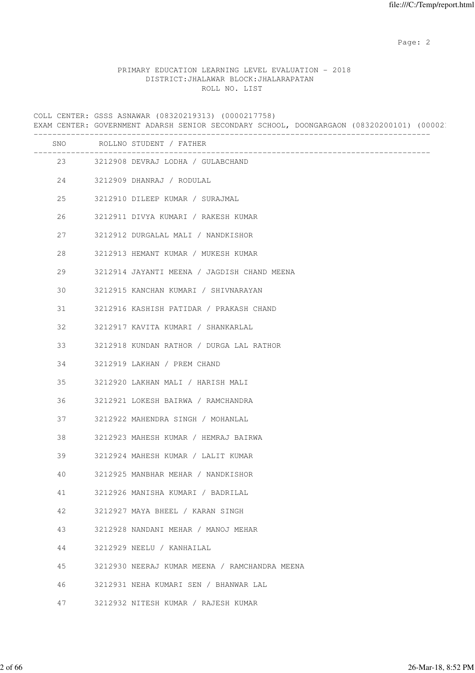### PRIMARY EDUCATION LEARNING LEVEL EVALUATION - 2018 DISTRICT:JHALAWAR BLOCK:JHALARAPATAN ROLL NO. LIST

COLL CENTER: GSSS ASNAWAR (08320219313) (0000217758) EXAM CENTER: GOVERNMENT ADARSH SENIOR SECONDARY SCHOOL, DOONGARGAON (08320200101) (000021 ------------------------------------------------------------------------------------- SNO ROLLNO STUDENT / FATHER ------------------------------------------------------------------------------------- 23 3212908 DEVRAJ LODHA / GULABCHAND 24 3212909 DHANRAJ / RODULAL 25 3212910 DILEEP KUMAR / SURAJMAL 26 3212911 DIVYA KUMARI / RAKESH KUMAR 27 3212912 DURGALAL MALI / NANDKISHOR 28 3212913 HEMANT KUMAR / MUKESH KUMAR 29 3212914 JAYANTI MEENA / JAGDISH CHAND MEENA 30 3212915 KANCHAN KUMARI / SHIVNARAYAN 31 3212916 KASHISH PATIDAR / PRAKASH CHAND 32 3212917 KAVITA KUMARI / SHANKARLAL 33 3212918 KUNDAN RATHOR / DURGA LAL RATHOR 34 3212919 LAKHAN / PREM CHAND 35 3212920 LAKHAN MALI / HARISH MALI 36 3212921 LOKESH BAIRWA / RAMCHANDRA 37 3212922 MAHENDRA SINGH / MOHANLAL 38 3212923 MAHESH KUMAR / HEMRAJ BAIRWA 39 3212924 MAHESH KUMAR / LALIT KUMAR 40 3212925 MANBHAR MEHAR / NANDKISHOR 41 3212926 MANISHA KUMARI / BADRILAL 42 3212927 MAYA BHEEL / KARAN SINGH 43 3212928 NANDANI MEHAR / MANOJ MEHAR 44 3212929 NEELU / KANHAILAL 45 3212930 NEERAJ KUMAR MEENA / RAMCHANDRA MEENA 46 3212931 NEHA KUMARI SEN / BHANWAR LAL 47 3212932 NITESH KUMAR / RAJESH KUMAR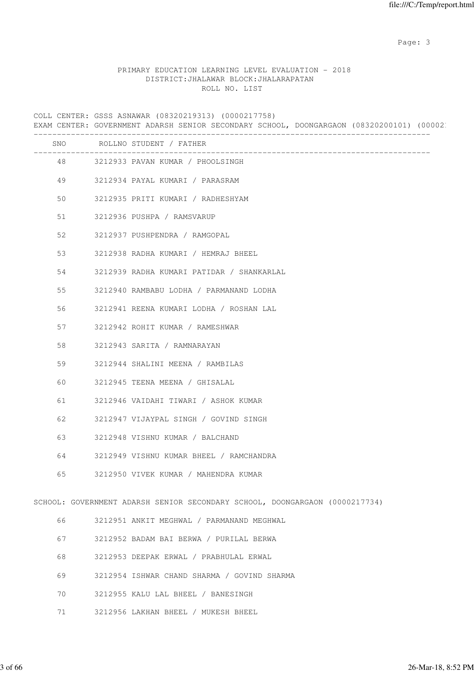### PRIMARY EDUCATION LEARNING LEVEL EVALUATION - 2018 DISTRICT:JHALAWAR BLOCK:JHALARAPATAN ROLL NO. LIST

COLL CENTER: GSSS ASNAWAR (08320219313) (0000217758) EXAM CENTER: GOVERNMENT ADARSH SENIOR SECONDARY SCHOOL, DOONGARGAON (08320200101) (000021 ------------------------------------------------------------------------------------- SNO ROLLNO STUDENT / FATHER ------------------------------------------------------------------------------------- 48 3212933 PAVAN KUMAR / PHOOLSINGH 49 3212934 PAYAL KUMARI / PARASRAM 50 3212935 PRITI KUMARI / RADHESHYAM 51 3212936 PUSHPA / RAMSVARUP 52 3212937 PUSHPENDRA / RAMGOPAL 53 3212938 RADHA KUMARI / HEMRAJ BHEEL 54 3212939 RADHA KUMARI PATIDAR / SHANKARLAL 55 3212940 RAMBABU LODHA / PARMANAND LODHA 56 3212941 REENA KUMARI LODHA / ROSHAN LAL 57 3212942 ROHIT KUMAR / RAMESHWAR 58 3212943 SARITA / RAMNARAYAN 59 3212944 SHALINI MEENA / RAMBILAS 60 3212945 TEENA MEENA / GHISALAL 61 3212946 VAIDAHI TIWARI / ASHOK KUMAR 62 3212947 VIJAYPAL SINGH / GOVIND SINGH 63 3212948 VISHNU KUMAR / BALCHAND 64 3212949 VISHNU KUMAR BHEEL / RAMCHANDRA 65 3212950 VIVEK KUMAR / MAHENDRA KUMAR SCHOOL: GOVERNMENT ADARSH SENIOR SECONDARY SCHOOL, DOONGARGAON (0000217734) 66 3212951 ANKIT MEGHWAL / PARMANAND MEGHWAL 67 3212952 BADAM BAI BERWA / PURILAL BERWA 68 3212953 DEEPAK ERWAL / PRABHULAL ERWAL 69 3212954 ISHWAR CHAND SHARMA / GOVIND SHARMA 70 3212955 KALU LAL BHEEL / BANESINGH

71 3212956 LAKHAN BHEEL / MUKESH BHEEL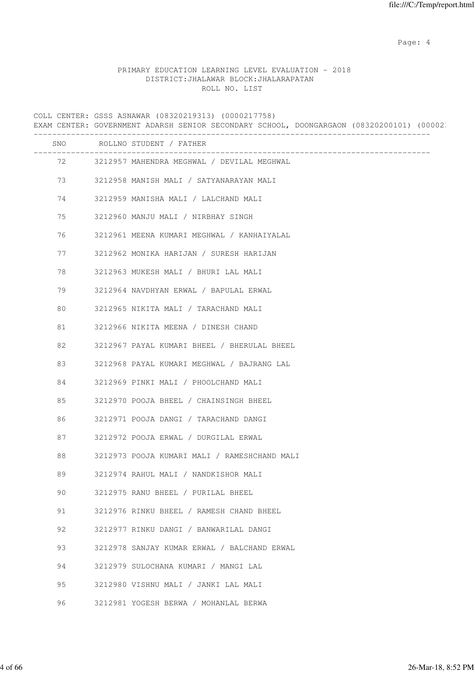Page: 4  $P$ 

# PRIMARY EDUCATION LEARNING LEVEL EVALUATION - 2018 DISTRICT:JHALAWAR BLOCK:JHALARAPATAN ROLL NO. LIST

COLL CENTER: GSSS ASNAWAR (08320219313) (0000217758) EXAM CENTER: GOVERNMENT ADARSH SENIOR SECONDARY SCHOOL, DOONGARGAON (08320200101) (000021 ------------------------------------------------------------------------------------- SNO ROLLNO STUDENT / FATHER ------------------------------------------------------------------------------------- 72 3212957 MAHENDRA MEGHWAL / DEVILAL MEGHWAL 73 3212958 MANISH MALI / SATYANARAYAN MALI 74 3212959 MANISHA MALI / LALCHAND MALI 75 3212960 MANJU MALI / NIRBHAY SINGH 76 3212961 MEENA KUMARI MEGHWAL / KANHAIYALAL 77 3212962 MONIKA HARIJAN / SURESH HARIJAN 78 3212963 MUKESH MALI / BHURI LAL MALI 79 3212964 NAVDHYAN ERWAL / BAPULAL ERWAL 80 3212965 NIKITA MALI / TARACHAND MALI 81 3212966 NIKITA MEENA / DINESH CHAND 82 3212967 PAYAL KUMARI BHEEL / BHERULAL BHEEL 83 3212968 PAYAL KUMARI MEGHWAL / BAJRANG LAL 84 3212969 PINKI MALI / PHOOLCHAND MALI 85 3212970 POOJA BHEEL / CHAINSINGH BHEEL 86 3212971 POOJA DANGI / TARACHAND DANGI 87 3212972 POOJA ERWAL / DURGILAL ERWAL 88 3212973 POOJA KUMARI MALI / RAMESHCHAND MALI 89 3212974 RAHUL MALI / NANDKISHOR MALI 90 3212975 RANU BHEEL / PURILAL BHEEL 91 3212976 RINKU BHEEL / RAMESH CHAND BHEEL 92 3212977 RINKU DANGI / BANWARILAL DANGI 93 3212978 SANJAY KUMAR ERWAL / BALCHAND ERWAL 94 3212979 SULOCHANA KUMARI / MANGI LAL 95 3212980 VISHNU MALI / JANKI LAL MALI 96 3212981 YOGESH BERWA / MOHANLAL BERWA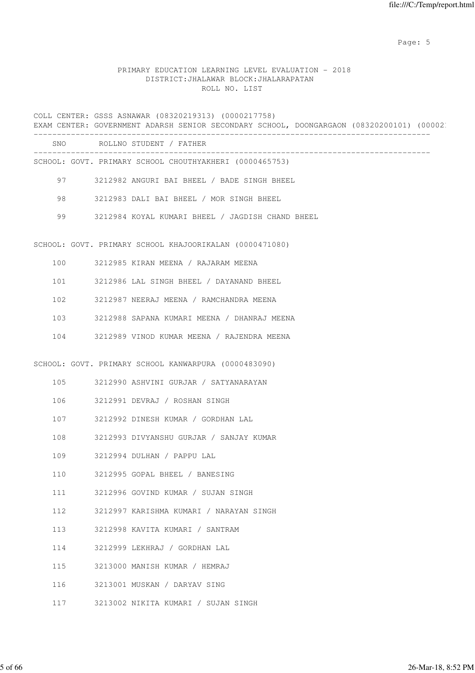Page: 5  $P$  and  $P$  and  $P$  and  $P$  and  $P$  and  $P$  and  $P$  and  $P$  and  $P$  and  $P$  and  $P$  and  $P$  and  $P$  and  $P$  and  $P$  and  $P$  and  $P$  and  $P$  and  $P$  and  $P$  and  $P$  and  $P$  and  $P$  and  $P$  and  $P$  and  $P$  and  $P$  an

### PRIMARY EDUCATION LEARNING LEVEL EVALUATION - 2018 DISTRICT:JHALAWAR BLOCK:JHALARAPATAN ROLL NO. LIST

COLL CENTER: GSSS ASNAWAR (08320219313) (0000217758) EXAM CENTER: GOVERNMENT ADARSH SENIOR SECONDARY SCHOOL, DOONGARGAON (08320200101) (000021

| SNO | ROLLNO STUDENT / FATHER                                 |
|-----|---------------------------------------------------------|
|     | SCHOOL: GOVT. PRIMARY SCHOOL CHOUTHYAKHERI (0000465753) |
| 97  | 3212982 ANGURI BAI BHEEL / BADE SINGH BHEEL             |
| 98  | 3212983 DALI BAI BHEEL / MOR SINGH BHEEL                |
| 99  | 3212984 KOYAL KUMARI BHEEL / JAGDISH CHAND BHEEL        |
|     |                                                         |

SCHOOL: GOVT. PRIMARY SCHOOL KHAJOORIKALAN (0000471080)

|  | ראל | KTRAN | MEENA |  | RAJARAM | MEENA |
|--|-----|-------|-------|--|---------|-------|
|--|-----|-------|-------|--|---------|-------|

101 3212986 LAL SINGH BHEEL / DAYANAND BHEEL

- 102 3212987 NEERAJ MEENA / RAMCHANDRA MEENA
- 103 3212988 SAPANA KUMARI MEENA / DHANRAJ MEENA
- 104 3212989 VINOD KUMAR MEENA / RAJENDRA MEENA

SCHOOL: GOVT. PRIMARY SCHOOL KANWARPURA (0000483090)

- 105 3212990 ASHVINI GURJAR / SATYANARAYAN
- 106 3212991 DEVRAJ / ROSHAN SINGH
- 107 3212992 DINESH KUMAR / GORDHAN LAL
- 108 3212993 DIVYANSHU GURJAR / SANJAY KUMAR
- 109 3212994 DULHAN / PAPPU LAL
- 110 3212995 GOPAL BHEEL / BANESING
- 111 3212996 GOVIND KUMAR / SUJAN SINGH
- 112 3212997 KARISHMA KUMARI / NARAYAN SINGH
- 113 3212998 KAVITA KUMARI / SANTRAM
- 114 3212999 LEKHRAJ / GORDHAN LAL
- 115 3213000 MANISH KUMAR / HEMRAJ
- 116 3213001 MUSKAN / DARYAV SING
- 117 3213002 NIKITA KUMARI / SUJAN SINGH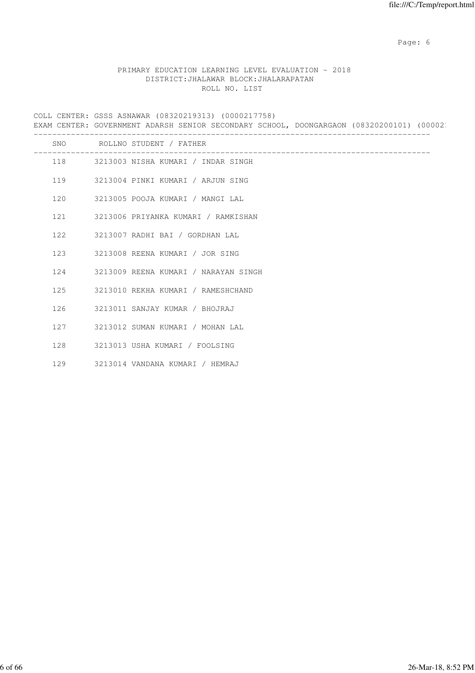Page: 6  $P$  and  $P$  and  $P$  and  $P$  and  $P$  and  $P$  and  $P$  and  $P$  and  $P$  and  $P$  and  $P$  and  $P$  and  $P$  and  $P$  and  $P$  and  $P$  and  $P$  and  $P$  and  $P$  and  $P$  and  $P$  and  $P$  and  $P$  and  $P$  and  $P$  and  $P$  and  $P$  an

# PRIMARY EDUCATION LEARNING LEVEL EVALUATION - 2018 DISTRICT:JHALAWAR BLOCK:JHALARAPATAN ROLL NO. LIST

COLL CENTER: GSSS ASNAWAR (08320219313) (0000217758) EXAM CENTER: GOVERNMENT ADARSH SENIOR SECONDARY SCHOOL, DOONGARGAON (08320200101) (000021 -------------------------------------------------------------------------------------

| SNO | ROLLNO STUDENT / FATHER                 |
|-----|-----------------------------------------|
|     | 118 3213003 NISHA KUMARI / INDAR SINGH  |
|     | 119 3213004 PINKI KUMARI / ARJUN SING   |
|     | 120 3213005 POOJA KUMARI / MANGI LAL    |
|     | 121 3213006 PRIYANKA KUMARI / RAMKISHAN |
| 122 | 3213007 RADHI BAI / GORDHAN LAL         |
|     | 123 3213008 REENA KUMARI / JOR SING     |
| 124 | 3213009 REENA KUMARI / NARAYAN SINGH    |
| 125 | 3213010 REKHA KUMARI / RAMESHCHAND      |
| 126 | 3213011 SANJAY KUMAR / BHOJRAJ          |
| 127 | 3213012 SUMAN KUMARI / MOHAN LAL        |
| 128 | 3213013 USHA KUMARI / FOOLSING          |
| 129 | 3213014 VANDANA KUMARI / HEMRAJ         |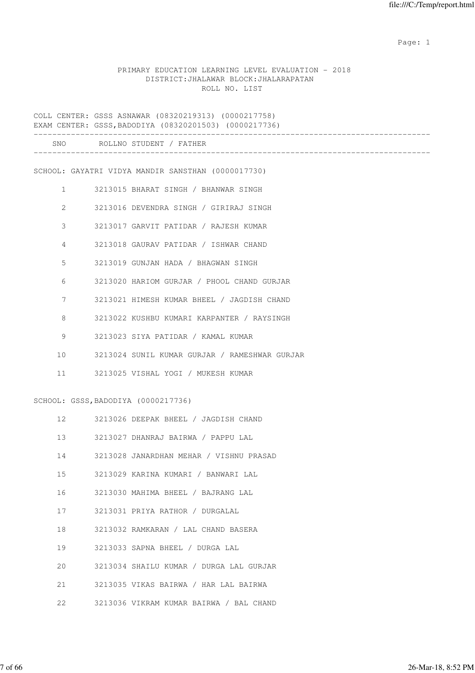### PRIMARY EDUCATION LEARNING LEVEL EVALUATION - 2018 DISTRICT:JHALAWAR BLOCK:JHALARAPATAN ROLL NO. LIST

COLL CENTER: GSSS ASNAWAR (08320219313) (0000217758) EXAM CENTER: GSSS,BADODIYA (08320201503) (0000217736) ------------------------------------------------------------------------------------- SNO ROLLNO STUDENT / FATHER ------------------------------------------------------------------------------------- SCHOOL: GAYATRI VIDYA MANDIR SANSTHAN (0000017730) 1 3213015 BHARAT SINGH / BHANWAR SINGH 2 3213016 DEVENDRA SINGH / GIRIRAJ SINGH 3 3213017 GARVIT PATIDAR / RAJESH KUMAR 4 3213018 GAURAV PATIDAR / ISHWAR CHAND 5 3213019 GUNJAN HADA / BHAGWAN SINGH 6 3213020 HARIOM GURJAR / PHOOL CHAND GURJAR 7 3213021 HIMESH KUMAR BHEEL / JAGDISH CHAND 8 3213022 KUSHBU KUMARI KARPANTER / RAYSINGH 9 3213023 SIYA PATIDAR / KAMAL KUMAR 10 3213024 SUNIL KUMAR GURJAR / RAMESHWAR GURJAR 11 3213025 VISHAL YOGI / MUKESH KUMAR SCHOOL: GSSS,BADODIYA (0000217736) 12 3213026 DEEPAK BHEEL / JAGDISH CHAND 13 3213027 DHANRAJ BAIRWA / PAPPU LAL 14 3213028 JANARDHAN MEHAR / VISHNU PRASAD 15 3213029 KARINA KUMARI / BANWARI LAL 16 3213030 MAHIMA BHEEL / BAJRANG LAL 17 3213031 PRIYA RATHOR / DURGALAL 18 3213032 RAMKARAN / LAL CHAND BASERA 19 3213033 SAPNA BHEEL / DURGA LAL 20 3213034 SHAILU KUMAR / DURGA LAL GURJAR 21 3213035 VIKAS BAIRWA / HAR LAL BAIRWA

22 3213036 VIKRAM KUMAR BAIRWA / BAL CHAND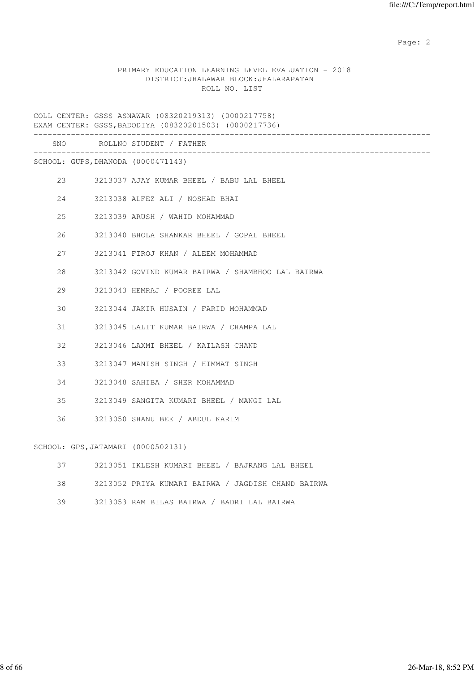# PRIMARY EDUCATION LEARNING LEVEL EVALUATION - 2018 DISTRICT:JHALAWAR BLOCK:JHALARAPATAN ROLL NO. LIST

COLL CENTER: GSSS ASNAWAR (08320219313) (0000217758) EXAM CENTER: GSSS,BADODIYA (08320201503) (0000217736) ------------------------------------------------------------------------------------- SNO ROLLNO STUDENT / FATHER ------------------------------------------------------------------------------------- SCHOOL: GUPS,DHANODA (0000471143) 23 3213037 AJAY KUMAR BHEEL / BABU LAL BHEEL 24 3213038 ALFEZ ALI / NOSHAD BHAI 25 3213039 ARUSH / WAHID MOHAMMAD 26 3213040 BHOLA SHANKAR BHEEL / GOPAL BHEEL 27 3213041 FIROJ KHAN / ALEEM MOHAMMAD 28 3213042 GOVIND KUMAR BAIRWA / SHAMBHOO LAL BAIRWA 29 3213043 HEMRAJ / POOREE LAL 30 3213044 JAKIR HUSAIN / FARID MOHAMMAD 31 3213045 LALIT KUMAR BAIRWA / CHAMPA LAL 32 3213046 LAXMI BHEEL / KAILASH CHAND 33 3213047 MANISH SINGH / HIMMAT SINGH 34 3213048 SAHIBA / SHER MOHAMMAD 35 3213049 SANGITA KUMARI BHEEL / MANGI LAL 36 3213050 SHANU BEE / ABDUL KARIM SCHOOL: GPS,JATAMARI (0000502131) 37 3213051 IKLESH KUMARI BHEEL / BAJRANG LAL BHEEL 38 3213052 PRIYA KUMARI BAIRWA / JAGDISH CHAND BAIRWA

39 3213053 RAM BILAS BAIRWA / BADRI LAL BAIRWA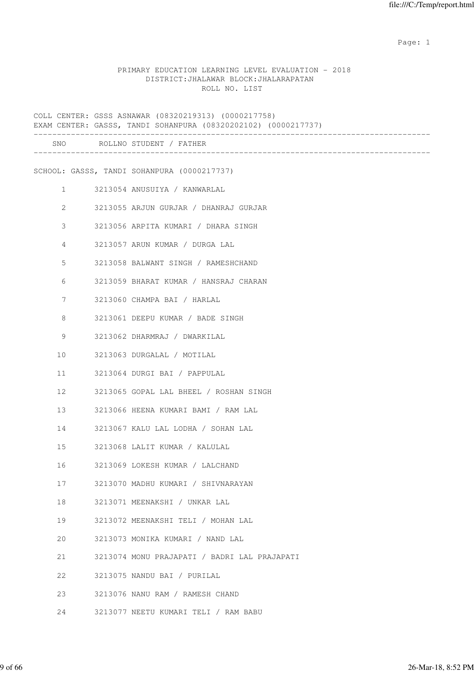### PRIMARY EDUCATION LEARNING LEVEL EVALUATION - 2018 DISTRICT:JHALAWAR BLOCK:JHALARAPATAN ROLL NO. LIST

COLL CENTER: GSSS ASNAWAR (08320219313) (0000217758) EXAM CENTER: GASSS, TANDI SOHANPURA (08320202102) (0000217737) ------------------------------------------------------------------------------------- SNO ROLLNO STUDENT / FATHER ------------------------------------------------------------------------------------- SCHOOL: GASSS, TANDI SOHANPURA (0000217737) 1 3213054 ANUSUIYA / KANWARLAL 2 3213055 ARJUN GURJAR / DHANRAJ GURJAR 3 3213056 ARPITA KUMARI / DHARA SINGH 4 3213057 ARUN KUMAR / DURGA LAL 5 3213058 BALWANT SINGH / RAMESHCHAND 6 3213059 BHARAT KUMAR / HANSRAJ CHARAN 7 3213060 CHAMPA BAI / HARLAL 8 3213061 DEEPU KUMAR / BADE SINGH 9 3213062 DHARMRAJ / DWARKILAL 10 3213063 DURGALAL / MOTILAL 11 3213064 DURGI BAI / PAPPULAL 12 3213065 GOPAL LAL BHEEL / ROSHAN SINGH 13 3213066 HEENA KUMARI BAMI / RAM LAL 14 3213067 KALU LAL LODHA / SOHAN LAL 15 3213068 LALIT KUMAR / KALULAL 16 3213069 LOKESH KUMAR / LALCHAND 17 3213070 MADHU KUMARI / SHIVNARAYAN 18 3213071 MEENAKSHI / UNKAR LAL 19 3213072 MEENAKSHI TELI / MOHAN LAL 20 3213073 MONIKA KUMARI / NAND LAL 21 3213074 MONU PRAJAPATI / BADRI LAL PRAJAPATI 22 3213075 NANDU BAI / PURILAL 23 3213076 NANU RAM / RAMESH CHAND 24 3213077 NEETU KUMARI TELI / RAM BABU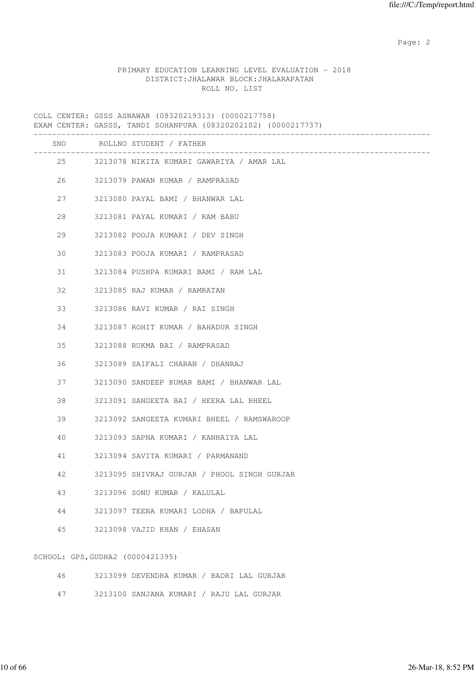## PRIMARY EDUCATION LEARNING LEVEL EVALUATION - 2018 DISTRICT:JHALAWAR BLOCK:JHALARAPATAN ROLL NO. LIST

COLL CENTER: GSSS ASNAWAR (08320219313) (0000217758) EXAM CENTER: GASSS, TANDI SOHANPURA (08320202102) (0000217737) ------------------------------------------------------------------------------------- SNO ROLLNO STUDENT / FATHER ------------------------------------------------------------------------------------- 25 3213078 NIKITA KUMARI GAWARIYA / AMAR LAL 26 3213079 PAWAN KUMAR / RAMPRASAD 27 3213080 PAYAL BAMI / BHANWAR LAL 28 3213081 PAYAL KUMARI / RAM BABU 29 3213082 POOJA KUMARI / DEV SINGH 30 3213083 POOJA KUMARI / RAMPRASAD 31 3213084 PUSHPA KUMARI BAMI / RAM LAL 32 3213085 RAJ KUMAR / RAMRATAN 33 3213086 RAVI KUMAR / RAI SINGH 34 3213087 ROHIT KUMAR / BAHADUR SINGH 35 3213088 RUKMA BAI / RAMPRASAD 36 3213089 SAIFALI CHARAN / DHANRAJ 37 3213090 SANDEEP KUMAR BAMI / BHANWAR LAL 38 3213091 SANGEETA BAI / HEERA LAL BHEEL 39 3213092 SANGEETA KUMARI BHEEL / RAMSWAROOP 40 3213093 SAPNA KUMARI / KANHAIYA LAL 41 3213094 SAVITA KUMARI / PARMANAND 42 3213095 SHIVRAJ GURJAR / PHOOL SINGH GURJAR 43 3213096 SONU KUMAR / KALULAL 44 3213097 TEENA KUMARI LODHA / BAPULAL 45 3213098 VAJID KHAN / EHASAN SCHOOL: GPS,GUDHA2 (0000421395) 46 3213099 DEVENDRA KUMAR / BADRI LAL GURJAR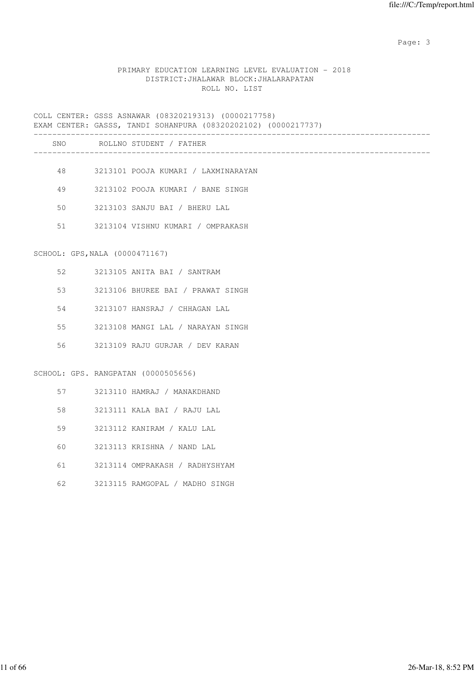# PRIMARY EDUCATION LEARNING LEVEL EVALUATION - 2018 DISTRICT:JHALAWAR BLOCK:JHALARAPATAN ROLL NO. LIST

|    | COLL CENTER: GSSS ASNAWAR (08320219313) (0000217758)<br>EXAM CENTER: GASSS, TANDI SOHANPURA (08320202102) (0000217737)<br>________<br>____________________________<br>_________ |
|----|---------------------------------------------------------------------------------------------------------------------------------------------------------------------------------|
|    | SNO ROLLNO STUDENT / FATHER<br>____________________________________                                                                                                             |
|    |                                                                                                                                                                                 |
|    | 48 — 18<br>3213101 POOJA KUMARI / LAXMINARAYAN                                                                                                                                  |
| 49 | 3213102 POOJA KUMARI / BANE SINGH                                                                                                                                               |
| 50 | 3213103 SANJU BAI / BHERU LAL                                                                                                                                                   |
| 51 | 3213104 VISHNU KUMARI / OMPRAKASH                                                                                                                                               |
|    |                                                                                                                                                                                 |
|    | SCHOOL: GPS, NALA (0000471167)                                                                                                                                                  |
| 52 | 3213105 ANITA BAI / SANTRAM                                                                                                                                                     |
| 53 | 3213106 BHUREE BAI / PRAWAT SINGH                                                                                                                                               |
| 54 | 3213107 HANSRAJ / CHHAGAN LAL                                                                                                                                                   |
| 55 | 3213108 MANGI LAL / NARAYAN SINGH                                                                                                                                               |
| 56 | 3213109 RAJU GURJAR / DEV KARAN                                                                                                                                                 |
|    |                                                                                                                                                                                 |
|    | SCHOOL: GPS. RANGPATAN (0000505656)                                                                                                                                             |
|    | 57 — 17<br>3213110 HAMRAJ / MANAKDHAND                                                                                                                                          |
| 58 | 3213111 KALA BAI / RAJU LAL                                                                                                                                                     |
| 59 | 3213112 KANIRAM / KALU LAL                                                                                                                                                      |
| 60 | 3213113 KRISHNA / NAND LAL                                                                                                                                                      |
| 61 | 3213114 OMPRAKASH / RADHYSHYAM                                                                                                                                                  |
| 62 | 3213115 RAMGOPAL / MADHO SINGH                                                                                                                                                  |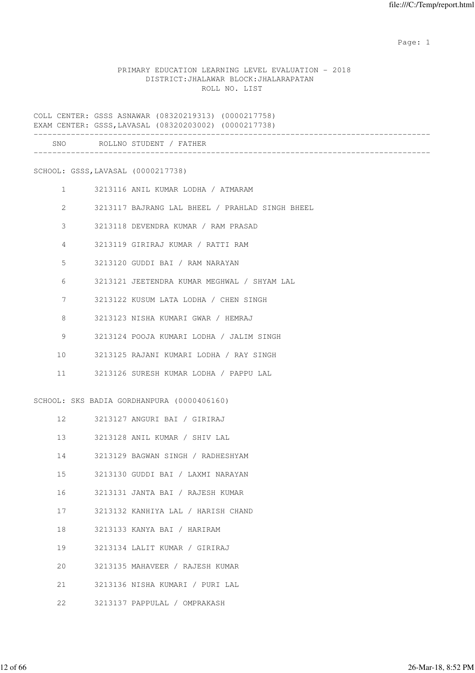## PRIMARY EDUCATION LEARNING LEVEL EVALUATION - 2018 DISTRICT:JHALAWAR BLOCK:JHALARAPATAN ROLL NO. LIST

COLL CENTER: GSSS ASNAWAR (08320219313) (0000217758) EXAM CENTER: GSSS,LAVASAL (08320203002) (0000217738) ------------------------------------------------------------------------------------- SNO ROLLNO STUDENT / FATHER ------------------------------------------------------------------------------------- SCHOOL: GSSS,LAVASAL (0000217738) 1 3213116 ANIL KUMAR LODHA / ATMARAM 2 3213117 BAJRANG LAL BHEEL / PRAHLAD SINGH BHEEL 3 3213118 DEVENDRA KUMAR / RAM PRASAD 4 3213119 GIRIRAJ KUMAR / RATTI RAM 5 3213120 GUDDI BAI / RAM NARAYAN 6 3213121 JEETENDRA KUMAR MEGHWAL / SHYAM LAL 7 3213122 KUSUM LATA LODHA / CHEN SINGH 8 3213123 NISHA KUMARI GWAR / HEMRAJ 9 3213124 POOJA KUMARI LODHA / JALIM SINGH 10 3213125 RAJANI KUMARI LODHA / RAY SINGH 11 3213126 SURESH KUMAR LODHA / PAPPU LAL SCHOOL: SKS BADIA GORDHANPURA (0000406160) 12 3213127 ANGURI BAI / GIRIRAJ 13 3213128 ANIL KUMAR / SHIV LAL 14 3213129 BAGWAN SINGH / RADHESHYAM 15 3213130 GUDDI BAI / LAXMI NARAYAN 16 3213131 JANTA BAI / RAJESH KUMAR 17 3213132 KANHIYA LAL / HARISH CHAND 18 3213133 KANYA BAI / HARIRAM 19 3213134 LALIT KUMAR / GIRIRAJ

20 3213135 MAHAVEER / RAJESH KUMAR

21 3213136 NISHA KUMARI / PURI LAL

22 3213137 PAPPULAL / OMPRAKASH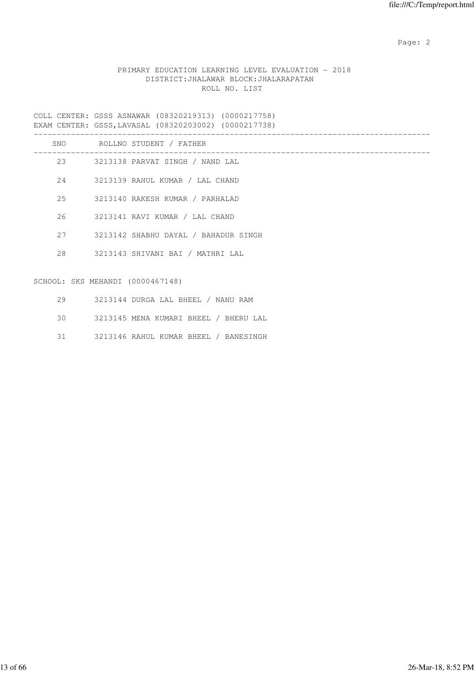# PRIMARY EDUCATION LEARNING LEVEL EVALUATION - 2018 DISTRICT:JHALAWAR BLOCK:JHALARAPATAN ROLL NO. LIST

COLL CENTER: GSSS ASNAWAR (08320219313) (0000217758) EXAM CENTER: GSSS,LAVASAL (08320203002) (0000217738)

|    |                                  | SNO ROLLNO STUDENT / FATHER          |
|----|----------------------------------|--------------------------------------|
|    |                                  | 23 3213138 PARVAT SINGH / NAND LAL   |
|    |                                  | 24 3213139 RAHUL KUMAR / LAL CHAND   |
|    |                                  | 25 3213140 RAKESH KUMAR / PARHALAD   |
|    |                                  | 26 3213141 RAVI KUMAR / LAL CHAND    |
|    | 27                               | 3213142 SHABHU DAYAL / BAHADUR SINGH |
|    |                                  | 28 3213143 SHIVANI BAI / MATHRI LAL  |
|    | SCHOOL: SKS MEHANDI (0000467148) |                                      |
| 29 |                                  | 3213144 DURGA LAL BHEEL / NANU RAM   |

30 3213145 MENA KUMARI BHEEL / BHERU LAL

31 3213146 RAHUL KUMAR BHEEL / BANESINGH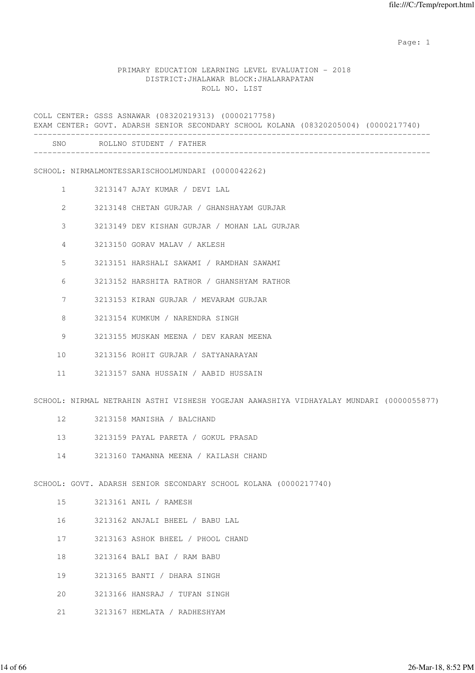### PRIMARY EDUCATION LEARNING LEVEL EVALUATION - 2018 DISTRICT:JHALAWAR BLOCK:JHALARAPATAN ROLL NO. LIST

COLL CENTER: GSSS ASNAWAR (08320219313) (0000217758) EXAM CENTER: GOVT. ADARSH SENIOR SECONDARY SCHOOL KOLANA (08320205004) (0000217740) ------------------------------------------------------------------------------------- SNO ROLLNO STUDENT / FATHER ------------------------------------------------------------------------------------- SCHOOL: NIRMALMONTESSARISCHOOLMUNDARI (0000042262) 1 3213147 AJAY KUMAR / DEVI LAL 2 3213148 CHETAN GURJAR / GHANSHAYAM GURJAR 3 3213149 DEV KISHAN GURJAR / MOHAN LAL GURJAR 4 3213150 GORAV MALAV / AKLESH 5 3213151 HARSHALI SAWAMI / RAMDHAN SAWAMI 6 3213152 HARSHITA RATHOR / GHANSHYAM RATHOR 7 3213153 KIRAN GURJAR / MEVARAM GURJAR 8 3213154 KUMKUM / NARENDRA SINGH 9 3213155 MUSKAN MEENA / DEV KARAN MEENA 10 3213156 ROHIT GURJAR / SATYANARAYAN 11 3213157 SANA HUSSAIN / AABID HUSSAIN SCHOOL: NIRMAL NETRAHIN ASTHI VISHESH YOGEJAN AAWASHIYA VIDHAYALAY MUNDARI (0000055877) 12 3213158 MANISHA / BALCHAND 13 3213159 PAYAL PARETA / GOKUL PRASAD 14 3213160 TAMANNA MEENA / KAILASH CHAND SCHOOL: GOVT. ADARSH SENIOR SECONDARY SCHOOL KOLANA (0000217740) 15 3213161 ANIL / RAMESH 16 3213162 ANJALI BHEEL / BABU LAL 17 3213163 ASHOK BHEEL / PHOOL CHAND 18 3213164 BALI BAI / RAM BABU 19 3213165 BANTI / DHARA SINGH

- 20 3213166 HANSRAJ / TUFAN SINGH
- 21 3213167 HEMLATA / RADHESHYAM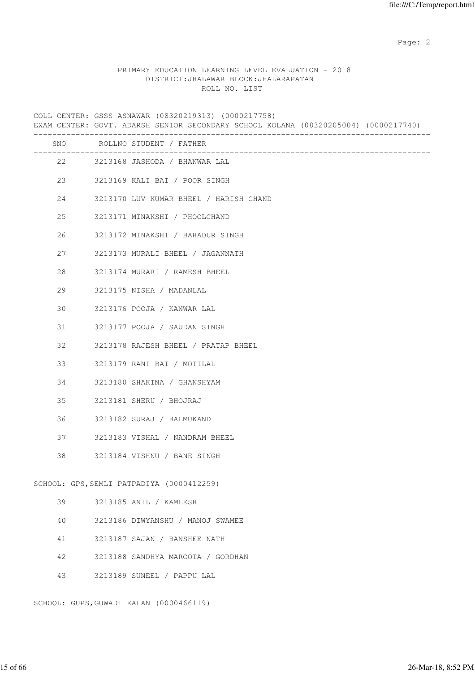### PRIMARY EDUCATION LEARNING LEVEL EVALUATION - 2018 DISTRICT:JHALAWAR BLOCK:JHALARAPATAN ROLL NO. LIST

COLL CENTER: GSSS ASNAWAR (08320219313) (0000217758) EXAM CENTER: GOVT. ADARSH SENIOR SECONDARY SCHOOL KOLANA (08320205004) (0000217740) ------------------------------------------------------------------------------------- SNO ROLLNO STUDENT / FATHER ------------------------------------------------------------------------------------- 22 3213168 JASHODA / BHANWAR LAL 23 3213169 KALI BAI / POOR SINGH 24 3213170 LUV KUMAR BHEEL / HARISH CHAND 25 3213171 MINAKSHI / PHOOLCHAND 26 3213172 MINAKSHI / BAHADUR SINGH 27 3213173 MURALI BHEEL / JAGANNATH 28 3213174 MURARI / RAMESH BHEEL 29 3213175 NISHA / MADANLAL 30 3213176 POOJA / KANWAR LAL 31 3213177 POOJA / SAUDAN SINGH 32 3213178 RAJESH BHEEL / PRATAP BHEEL 33 3213179 RANI BAI / MOTILAL 34 3213180 SHAKINA / GHANSHYAM 35 3213181 SHERU / BHOJRAJ 36 3213182 SURAJ / BALMUKAND 37 3213183 VISHAL / NANDRAM BHEEL 38 3213184 VISHNU / BANE SINGH SCHOOL: GPS,SEMLI PATPADIYA (0000412259) 39 3213185 ANIL / KAMLESH 40 3213186 DIWYANSHU / MANOJ SWAMEE 41 3213187 SAJAN / BANSHEE NATH 42 3213188 SANDHYA MAROOTA / GORDHAN 43 3213189 SUNEEL / PAPPU LAL SCHOOL: GUPS,GUWADI KALAN (0000466119)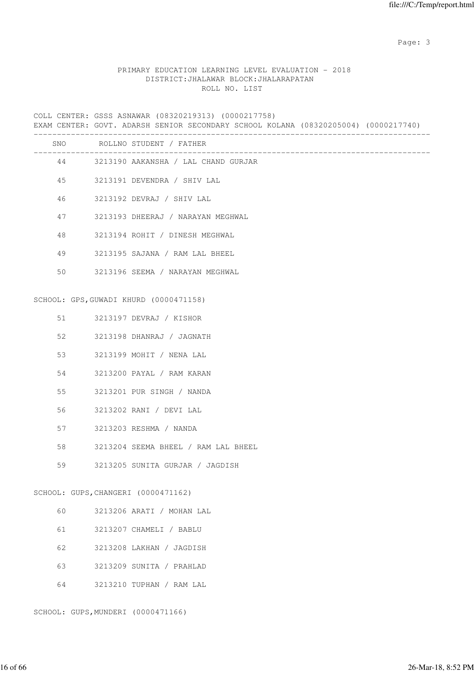# PRIMARY EDUCATION LEARNING LEVEL EVALUATION - 2018 DISTRICT:JHALAWAR BLOCK:JHALARAPATAN ROLL NO. LIST

COLL CENTER: GSSS ASNAWAR (08320219313) (0000217758)

EXAM CENTER: GOVT. ADARSH SENIOR SECONDARY SCHOOL KOLANA (08320205004) (0000217740)

|    |    | SNO ROLLNO STUDENT / FATHER            |
|----|----|----------------------------------------|
|    | 44 | 3213190 AAKANSHA / LAL CHAND GURJAR    |
| 45 |    | 3213191 DEVENDRA / SHIV LAL            |
| 46 |    | 3213192 DEVRAJ / SHIV LAL              |
| 47 |    | 3213193 DHEERAJ / NARAYAN MEGHWAL      |
| 48 |    | 3213194 ROHIT / DINESH MEGHWAL         |
| 49 |    | 3213195 SAJANA / RAM LAL BHEEL         |
| 50 |    | 3213196 SEEMA / NARAYAN MEGHWAL        |
|    |    | SCHOOL: GPS, GUWADI KHURD (0000471158) |
|    |    |                                        |
| 51 |    | 3213197 DEVRAJ / KISHOR                |
| 52 |    | 3213198 DHANRAJ / JAGNATH              |
| 53 |    | 3213199 MOHIT / NENA LAL               |
| 54 |    | 3213200 PAYAL / RAM KARAN              |
| 55 |    | 3213201 PUR SINGH / NANDA              |
| 56 |    | 3213202 RANI / DEVI LAL                |
| 57 |    | 3213203 RESHMA / NANDA                 |
| 58 |    | 3213204 SEEMA BHEEL / RAM LAL BHEEL    |
| 59 |    | 3213205 SUNITA GURJAR / JAGDISH        |
|    |    | SCHOOL: GUPS, CHANGERI (0000471162)    |
| 60 |    | 3213206 ARATI / MOHAN LAL              |
| 61 |    | 3213207 CHAMELI / BABLU                |
| 62 |    | 3213208 LAKHAN / JAGDISH               |
| 63 |    | 3213209 SUNITA / PRAHLAD               |
| 64 |    | 3213210 TUPHAN / RAM LAL               |

SCHOOL: GUPS,MUNDERI (0000471166)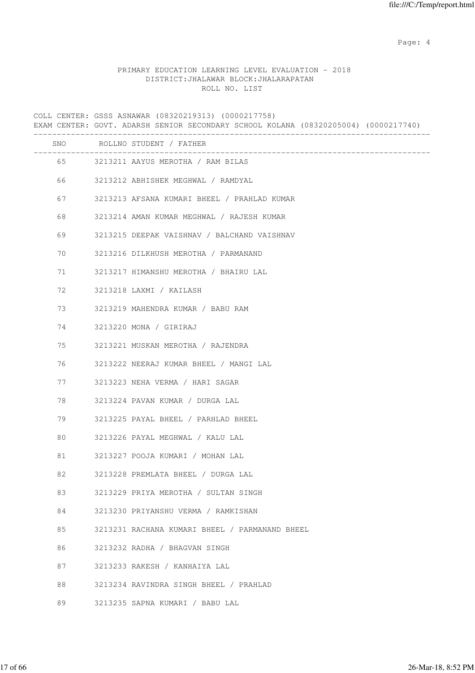Page: 4  $P$ 

# PRIMARY EDUCATION LEARNING LEVEL EVALUATION - 2018 DISTRICT:JHALAWAR BLOCK:JHALARAPATAN ROLL NO. LIST

COLL CENTER: GSSS ASNAWAR (08320219313) (0000217758) EXAM CENTER: GOVT. ADARSH SENIOR SECONDARY SCHOOL KOLANA (08320205004) (0000217740) ------------------------------------------------------------------------------------- SNO ROLLNO STUDENT / FATHER ------------------------------------------------------------------------------------- 65 3213211 AAYUS MEROTHA / RAM BILAS 66 3213212 ABHISHEK MEGHWAL / RAMDYAL 67 3213213 AFSANA KUMARI BHEEL / PRAHLAD KUMAR 68 3213214 AMAN KUMAR MEGHWAL / RAJESH KUMAR 69 3213215 DEEPAK VAISHNAV / BALCHAND VAISHNAV 70 3213216 DILKHUSH MEROTHA / PARMANAND 71 3213217 HIMANSHU MEROTHA / BHAIRU LAL 72 3213218 LAXMI / KAILASH 73 3213219 MAHENDRA KUMAR / BABU RAM 74 3213220 MONA / GIRIRAJ 75 3213221 MUSKAN MEROTHA / RAJENDRA 76 3213222 NEERAJ KUMAR BHEEL / MANGI LAL 77 3213223 NEHA VERMA / HARI SAGAR 78 3213224 PAVAN KUMAR / DURGA LAL 79 3213225 PAYAL BHEEL / PARHLAD BHEEL 80 3213226 PAYAL MEGHWAL / KALU LAL 81 3213227 POOJA KUMARI / MOHAN LAL

- 82 3213228 PREMLATA BHEEL / DURGA LAL
- 83 3213229 PRIYA MEROTHA / SULTAN SINGH
- 84 3213230 PRIYANSHU VERMA / RAMKISHAN
- 85 3213231 RACHANA KUMARI BHEEL / PARMANAND BHEEL
- 86 3213232 RADHA / BHAGVAN SINGH
- 87 3213233 RAKESH / KANHAIYA LAL
- 88 3213234 RAVINDRA SINGH BHEEL / PRAHLAD
- 89 3213235 SAPNA KUMARI / BABU LAL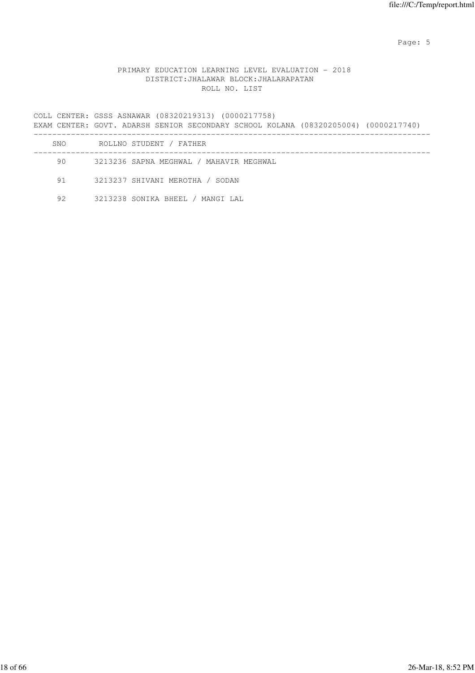Page: 5  $P$  and  $P$  and  $P$  and  $P$  and  $P$  and  $P$  and  $P$  and  $P$  and  $P$  and  $P$  and  $P$  and  $P$  and  $P$  and  $P$  and  $P$  and  $P$  and  $P$  and  $P$  and  $P$  and  $P$  and  $P$  and  $P$  and  $P$  and  $P$  and  $P$  and  $P$  and  $P$  an

## PRIMARY EDUCATION LEARNING LEVEL EVALUATION - 2018 DISTRICT:JHALAWAR BLOCK:JHALARAPATAN ROLL NO. LIST

COLL CENTER: GSSS ASNAWAR (08320219313) (0000217758) EXAM CENTER: GOVT. ADARSH SENIOR SECONDARY SCHOOL KOLANA (08320205004) (0000217740) ------------------------------------------------------------------------------------- SNO ROLLNO STUDENT / FATHER

| 90.  | 3213236 SAPNA MEGHWAL / MAHAVIR MEGHWAL |
|------|-----------------------------------------|
| 91 — | 3213237 SHIVANI MEROTHA / SODAN         |
| 92   | 3213238 SONIKA BHEEL / MANGI LAL        |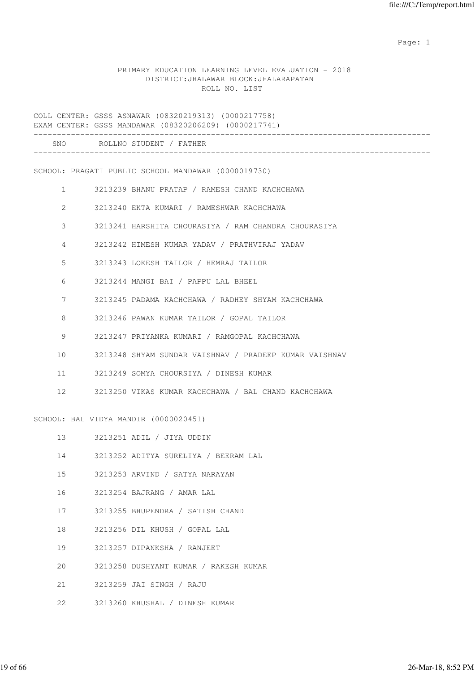## PRIMARY EDUCATION LEARNING LEVEL EVALUATION - 2018 DISTRICT:JHALAWAR BLOCK:JHALARAPATAN ROLL NO. LIST

COLL CENTER: GSSS ASNAWAR (08320219313) (0000217758) EXAM CENTER: GSSS MANDAWAR (08320206209) (0000217741) ------------------------------------------------------------------------------------- SNO ROLLNO STUDENT / FATHER ------------------------------------------------------------------------------------- SCHOOL: PRAGATI PUBLIC SCHOOL MANDAWAR (0000019730) 1 3213239 BHANU PRATAP / RAMESH CHAND KACHCHAWA 2 3213240 EKTA KUMARI / RAMESHWAR KACHCHAWA 3 3213241 HARSHITA CHOURASIYA / RAM CHANDRA CHOURASIYA 4 3213242 HIMESH KUMAR YADAV / PRATHVIRAJ YADAV 5 3213243 LOKESH TAILOR / HEMRAJ TAILOR 6 3213244 MANGI BAI / PAPPU LAL BHEEL 7 3213245 PADAMA KACHCHAWA / RADHEY SHYAM KACHCHAWA 8 3213246 PAWAN KUMAR TAILOR / GOPAL TAILOR 9 3213247 PRIYANKA KUMARI / RAMGOPAL KACHCHAWA 10 3213248 SHYAM SUNDAR VAISHNAV / PRADEEP KUMAR VAISHNAV 11 3213249 SOMYA CHOURSIYA / DINESH KUMAR 12 3213250 VIKAS KUMAR KACHCHAWA / BAL CHAND KACHCHAWA SCHOOL: BAL VIDYA MANDIR (0000020451) 13 3213251 ADIL / JIYA UDDIN 14 3213252 ADITYA SURELIYA / BEERAM LAL 15 3213253 ARVIND / SATYA NARAYAN 16 3213254 BAJRANG / AMAR LAL 17 3213255 BHUPENDRA / SATISH CHAND 18 3213256 DIL KHUSH / GOPAL LAL 19 3213257 DIPANKSHA / RANJEET 20 3213258 DUSHYANT KUMAR / RAKESH KUMAR

21 3213259 JAI SINGH / RAJU

22 3213260 KHUSHAL / DINESH KUMAR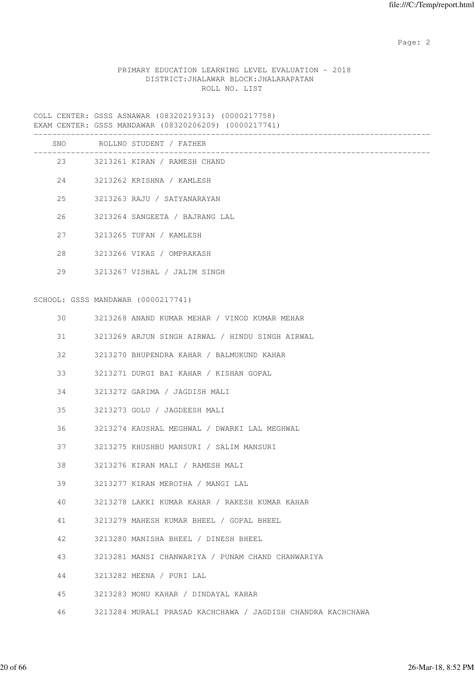# PRIMARY EDUCATION LEARNING LEVEL EVALUATION - 2018 DISTRICT:JHALAWAR BLOCK:JHALARAPATAN ROLL NO. LIST

| $\sim$ $\sim$ $\sim$ | $\cdots$ |  |
|----------------------|----------|--|

| SNO | ROLLNO STUDENT / FATHER                                     |
|-----|-------------------------------------------------------------|
| 23  | 3213261 KIRAN / RAMESH CHAND                                |
| 24  | 3213262 KRISHNA / KAMLESH                                   |
| 25  | 3213263 RAJU / SATYANARAYAN                                 |
| 26  | 3213264 SANGEETA / BAJRANG LAL                              |
| 27  | 3213265 TUFAN / KAMLESH                                     |
| 28  | 3213266 VIKAS / OMPRAKASH                                   |
| 29  | 3213267 VISHAL / JALIM SINGH                                |
|     | SCHOOL: GSSS MANDAWAR (0000217741)                          |
| 30  | 3213268 ANAND KUMAR MEHAR / VINOD KUMAR MEHAR               |
| 31  | 3213269 ARJUN SINGH AIRWAL / HINDU SINGH AIRWAL             |
| 32  | 3213270 BHUPENDRA KAHAR / BALMUKUND KAHAR                   |
| 33  | 3213271 DURGI BAI KAHAR / KISHAN GOPAL                      |
| 34  | 3213272 GARIMA / JAGDISH MALI                               |
| 35  | 3213273 GOLU / JAGDEESH MALI                                |
| 36  | 3213274 KAUSHAL MEGHWAL / DWARKI LAL MEGHWAL                |
| 37  | 3213275 KHUSHBU MANSURI / SALIM MANSURI                     |
| 38  | 3213276 KIRAN MALI / RAMESH MALI                            |
| 39  | 3213277 KIRAN MEROTHA / MANGI LAL                           |
| 40  | 3213278 LAKKI KUMAR KAHAR / RAKESH KUMAR KAHAR              |
| 41  | 3213279 MAHESH KUMAR BHEEL / GOPAL BHEEL                    |
| 42  | 3213280 MANISHA BHEEL / DINESH BHEEL                        |
| 43  | 3213281 MANSI CHANWARIYA / PUNAM CHAND CHANWARIYA           |
| 44  | 3213282 MEENA / PURI LAL                                    |
| 45  | 3213283 MONU KAHAR / DINDAYAL KAHAR                         |
| 46  | 3213284 MURALI PRASAD KACHCHAWA / JAGDISH CHANDRA KACHCHAWA |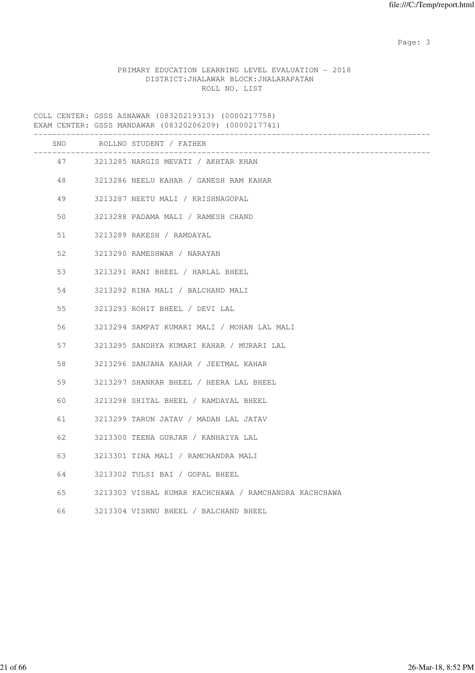# PRIMARY EDUCATION LEARNING LEVEL EVALUATION - 2018 DISTRICT:JHALAWAR BLOCK:JHALARAPATAN ROLL NO. LIST

|    | SNO | ROLLNO STUDENT / FATHER<br>______________             |
|----|-----|-------------------------------------------------------|
|    |     | 47 3213285 NARGIS MEVATI / AKHTAR KHAN                |
|    |     | 48 3213286 NEELU KAHAR / GANESH RAM KAHAR             |
| 49 |     | 3213287 NEETU MALI / KRISHNAGOPAL                     |
| 50 |     | 3213288 PADAMA MALI / RAMESH CHAND                    |
| 51 |     | 3213289 RAKESH / RAMDAYAL                             |
| 52 |     | 3213290 RAMESHWAR / NARAYAN                           |
| 53 |     | 3213291 RANI BHEEL / HARLAL BHEEL                     |
| 54 |     | 3213292 RINA MALI / BALCHAND MALI                     |
| 55 |     | 3213293 ROHIT BHEEL / DEVI LAL                        |
| 56 |     | 3213294 SAMPAT KUMARI MALI / MOHAN LAL MALI           |
| 57 |     | 3213295 SANDHYA KUMARI KAHAR / MURARI LAL             |
| 58 |     | 3213296 SANJANA KAHAR / JEETMAL KAHAR                 |
| 59 |     | 3213297 SHANKAR BHEEL / HEERA LAL BHEEL               |
| 60 |     | 3213298 SHITAL BHEEL / RAMDAYAL BHEEL                 |
| 61 |     | 3213299 TARUN JATAV / MADAN LAL JATAV                 |
| 62 |     | 3213300 TEENA GURJAR / KANHAIYA LAL                   |
| 63 |     | 3213301 TINA MALI / RAMCHANDRA MALI                   |
| 64 |     | 3213302 TULSI BAI / GOPAL BHEEL                       |
| 65 |     | 3213303 VISHAL KUMAR KACHCHAWA / RAMCHANDRA KACHCHAWA |
| 66 |     | 3213304 VISHNU BHEEL / BALCHAND BHEEL                 |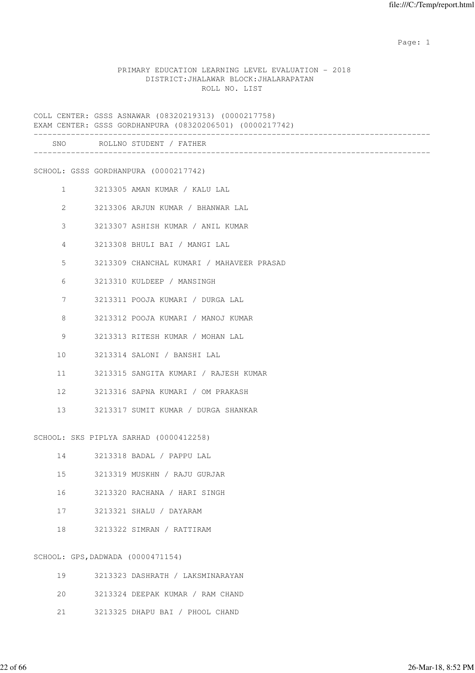### PRIMARY EDUCATION LEARNING LEVEL EVALUATION - 2018 DISTRICT:JHALAWAR BLOCK:JHALARAPATAN ROLL NO. LIST

COLL CENTER: GSSS ASNAWAR (08320219313) (0000217758) EXAM CENTER: GSSS GORDHANPURA (08320206501) (0000217742) ------------------------------------------------------------------------------------- SNO ROLLNO STUDENT / FATHER ------------------------------------------------------------------------------------- SCHOOL: GSSS GORDHANPURA (0000217742) 1 3213305 AMAN KUMAR / KALU LAL 2 3213306 ARJUN KUMAR / BHANWAR LAL 3 3213307 ASHISH KUMAR / ANIL KUMAR 4 3213308 BHULI BAI / MANGI LAL 5 3213309 CHANCHAL KUMARI / MAHAVEER PRASAD 6 3213310 KULDEEP / MANSINGH 7 3213311 POOJA KUMARI / DURGA LAL 8 3213312 POOJA KUMARI / MANOJ KUMAR 9 3213313 RITESH KUMAR / MOHAN LAL 10 3213314 SALONI / BANSHI LAL 11 3213315 SANGITA KUMARI / RAJESH KUMAR 12 3213316 SAPNA KUMARI / OM PRAKASH 13 3213317 SUMIT KUMAR / DURGA SHANKAR SCHOOL: SKS PIPLYA SARHAD (0000412258) 14 3213318 BADAL / PAPPU LAL 15 3213319 MUSKHN / RAJU GURJAR 16 3213320 RACHANA / HARI SINGH 17 3213321 SHALU / DAYARAM 18 3213322 SIMRAN / RATTIRAM SCHOOL: GPS,DADWADA (0000471154) 19 3213323 DASHRATH / LAKSMINARAYAN

- 20 3213324 DEEPAK KUMAR / RAM CHAND
- 21 3213325 DHAPU BAI / PHOOL CHAND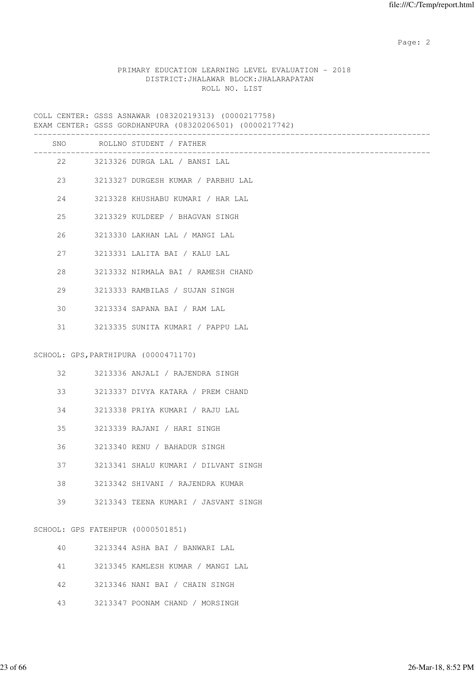# PRIMARY EDUCATION LEARNING LEVEL EVALUATION - 2018 DISTRICT:JHALAWAR BLOCK:JHALARAPATAN ROLL NO. LIST

COLL CENTER: GSSS ASNAWAR (08320219313) (0000217758) EXAM CENTER: GSSS GORDHANPURA (08320206501) (0000217742)

|    |                                   | EVAM CEMIER. GOOD GODDHANEOUA (000202000001) (0000217742) |
|----|-----------------------------------|-----------------------------------------------------------|
|    |                                   | SNO ROLLNO STUDENT / FATHER                               |
|    | 22 and $\sim$                     | 3213326 DURGA LAL / BANSI LAL                             |
|    |                                   | 23 3213327 DURGESH KUMAR / PARBHU LAL                     |
| 24 |                                   | 3213328 KHUSHABU KUMARI / HAR LAL                         |
| 25 |                                   | 3213329 KULDEEP / BHAGVAN SINGH                           |
| 26 |                                   | 3213330 LAKHAN LAL / MANGI LAL                            |
| 27 |                                   | 3213331 LALITA BAI / KALU LAL                             |
| 28 |                                   | 3213332 NIRMALA BAI / RAMESH CHAND                        |
| 29 |                                   | 3213333 RAMBILAS / SUJAN SINGH                            |
| 30 |                                   | 3213334 SAPANA BAI / RAM LAL                              |
| 31 |                                   | 3213335 SUNITA KUMARI / PAPPU LAL                         |
|    |                                   | SCHOOL: GPS, PARTHIPURA (0000471170)                      |
| 32 |                                   | 3213336 ANJALI / RAJENDRA SINGH                           |
| 33 |                                   | 3213337 DIVYA KATARA / PREM CHAND                         |
| 34 |                                   | 3213338 PRIYA KUMARI / RAJU LAL                           |
| 35 |                                   | 3213339 RAJANI / HARI SINGH                               |
| 36 |                                   | 3213340 RENU / BAHADUR SINGH                              |
| 37 |                                   | 3213341 SHALU KUMARI / DILVANT SINGH                      |
| 38 |                                   | 3213342 SHIVANI / RAJENDRA KUMAR                          |
| 39 |                                   | 3213343 TEENA KUMARI / JASVANT SINGH                      |
|    | SCHOOL: GPS FATEHPUR (0000501851) |                                                           |
| 40 |                                   | 3213344 ASHA BAI / BANWARI LAL                            |

- 41 3213345 KAMLESH KUMAR / MANGI LAL
- 42 3213346 NANI BAI / CHAIN SINGH
- 43 3213347 POONAM CHAND / MORSINGH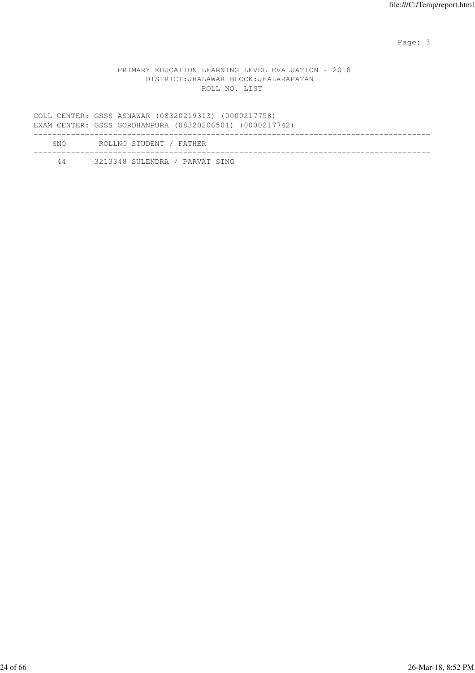### PRIMARY EDUCATION LEARNING LEVEL EVALUATION - 2018 DISTRICT:JHALAWAR BLOCK:JHALARAPATAN ROLL NO. LIST

COLL CENTER: GSSS ASNAWAR (08320219313) (0000217758) EXAM CENTER: GSSS GORDHANPURA (08320206501) (0000217742) ------------------------------------------------------------------------------------- SNO ROLLNO STUDENT / FATHER ------------------------------------------------------------------------------------- 44 3213348 SULENDRA / PARVAT SING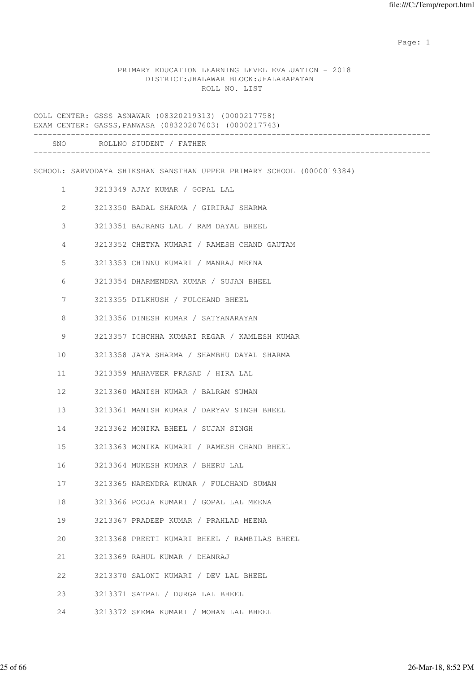### PRIMARY EDUCATION LEARNING LEVEL EVALUATION - 2018 DISTRICT:JHALAWAR BLOCK:JHALARAPATAN ROLL NO. LIST

COLL CENTER: GSSS ASNAWAR (08320219313) (0000217758) EXAM CENTER: GASSS,PANWASA (08320207603) (0000217743) ------------------------------------------------------------------------------------- SNO ROLLNO STUDENT / FATHER ------------------------------------------------------------------------------------- SCHOOL: SARVODAYA SHIKSHAN SANSTHAN UPPER PRIMARY SCHOOL (0000019384) 1 3213349 AJAY KUMAR / GOPAL LAL 2 3213350 BADAL SHARMA / GIRIRAJ SHARMA 3 3213351 BAJRANG LAL / RAM DAYAL BHEEL 4 3213352 CHETNA KUMARI / RAMESH CHAND GAUTAM 5 3213353 CHINNU KUMARI / MANRAJ MEENA 6 3213354 DHARMENDRA KUMAR / SUJAN BHEEL 7 3213355 DILKHUSH / FULCHAND BHEEL 8 3213356 DINESH KUMAR / SATYANARAYAN 9 3213357 ICHCHHA KUMARI REGAR / KAMLESH KUMAR 10 3213358 JAYA SHARMA / SHAMBHU DAYAL SHARMA 11 3213359 MAHAVEER PRASAD / HIRA LAL 12 3213360 MANISH KUMAR / BALRAM SUMAN 13 3213361 MANISH KUMAR / DARYAV SINGH BHEEL 14 3213362 MONIKA BHEEL / SUJAN SINGH 15 3213363 MONIKA KUMARI / RAMESH CHAND BHEEL 16 3213364 MUKESH KUMAR / BHERU LAL 17 3213365 NARENDRA KUMAR / FULCHAND SUMAN 18 3213366 POOJA KUMARI / GOPAL LAL MEENA 19 3213367 PRADEEP KUMAR / PRAHLAD MEENA 20 3213368 PREETI KUMARI BHEEL / RAMBILAS BHEEL 21 3213369 RAHUL KUMAR / DHANRAJ 22 3213370 SALONI KUMARI / DEV LAL BHEEL 23 3213371 SATPAL / DURGA LAL BHEEL 24 3213372 SEEMA KUMARI / MOHAN LAL BHEEL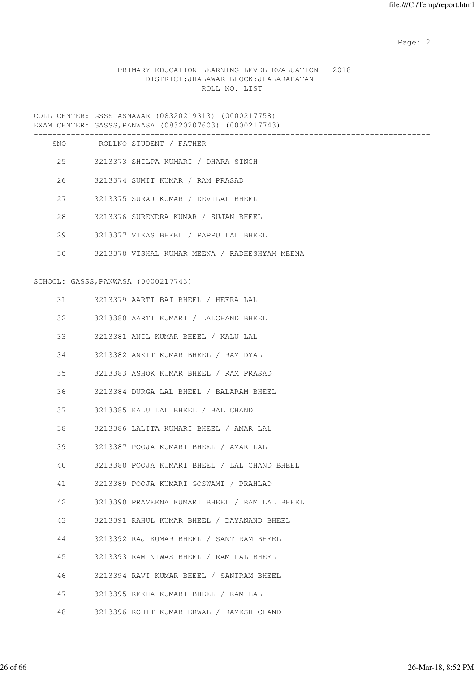# PRIMARY EDUCATION LEARNING LEVEL EVALUATION - 2018 DISTRICT:JHALAWAR BLOCK:JHALARAPATAN ROLL NO. LIST

COLL CENTER: GSSS ASNAWAR (08320219313) (0000217758) EXAM CENTER: GASSS,PANWASA (08320207603) (0000217743)

|    | SNO ROLLNO STUDENT / FATHER<br>-------------------------------- |
|----|-----------------------------------------------------------------|
|    | 25 3213373 SHILPA KUMARI / DHARA SINGH                          |
|    | 26 3213374 SUMIT KUMAR / RAM PRASAD                             |
| 27 | 3213375 SURAJ KUMAR / DEVILAL BHEEL                             |
| 28 | 3213376 SURENDRA KUMAR / SUJAN BHEEL                            |
| 29 | 3213377 VIKAS BHEEL / PAPPU LAL BHEEL                           |
| 30 | 3213378 VISHAL KUMAR MEENA / RADHESHYAM MEENA                   |
|    | SCHOOL: GASSS, PANWASA (0000217743)                             |
| 31 | 3213379 AARTI BAI BHEEL / HEERA LAL                             |
| 32 | 3213380 AARTI KUMARI / LALCHAND BHEEL                           |
| 33 | 3213381 ANIL KUMAR BHEEL / KALU LAL                             |
| 34 | 3213382 ANKIT KUMAR BHEEL / RAM DYAL                            |
| 35 | 3213383 ASHOK KUMAR BHEEL / RAM PRASAD                          |
| 36 | 3213384 DURGA LAL BHEEL / BALARAM BHEEL                         |
| 37 | 3213385 KALU LAL BHEEL / BAL CHAND                              |
| 38 | 3213386 LALITA KUMARI BHEEL / AMAR LAL                          |
| 39 | 3213387 POOJA KUMARI BHEEL / AMAR LAL                           |
| 40 | 3213388 POOJA KUMARI BHEEL / LAL CHAND BHEEL                    |
| 41 | 3213389 POOJA KUMARI GOSWAMI / PRAHLAD                          |
| 42 | 3213390 PRAVEENA KUMARI BHEEL / RAM LAL BHEEL                   |
| 43 | 3213391 RAHUL KUMAR BHEEL / DAYANAND BHEEL                      |
| 44 | 3213392 RAJ KUMAR BHEEL / SANT RAM BHEEL                        |
| 45 | 3213393 RAM NIWAS BHEEL / RAM LAL BHEEL                         |
| 46 | 3213394 RAVI KUMAR BHEEL / SANTRAM BHEEL                        |
| 47 | 3213395 REKHA KUMARI BHEEL / RAM LAL                            |
| 48 | 3213396 ROHIT KUMAR ERWAL / RAMESH CHAND                        |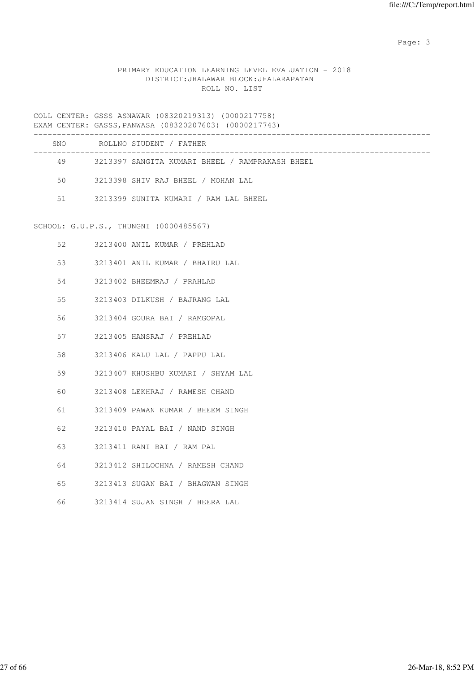# PRIMARY EDUCATION LEARNING LEVEL EVALUATION - 2018 DISTRICT:JHALAWAR BLOCK:JHALARAPATAN ROLL NO. LIST

COLL CENTER: GSSS ASNAWAR (08320219313) (0000217758) EXAM CENTER: GASSS,PANWASA (08320207603) (0000217743)

| SNO | ROLLNO STUDENT / FATHER                         |
|-----|-------------------------------------------------|
| 49  | 3213397 SANGITA KUMARI BHEEL / RAMPRAKASH BHEEL |
| 50  | 3213398 SHIV RAJ BHEEL / MOHAN LAL              |
| 51  | 3213399 SUNITA KUMARI / RAM LAL BHEEL           |
|     |                                                 |

# SCHOOL: G.U.P.S., THUNGNI (0000485567)

| 52 | 3213400 ANIL KUMAR / PREHLAD         |
|----|--------------------------------------|
|    | 3213401 ANIL KUMAR / BHAIRU LAL      |
| 54 | 3213402 BHEEMRAJ / PRAHLAD           |
|    | 55 3213403 DILKUSH / BAJRANG LAL     |
|    | 56 3213404 GOURA BAI / RAMGOPAL      |
| 57 | 3213405 HANSRAJ / PREHLAD            |
|    | 58 3213406 KALU LAL / PAPPU LAL      |
| 59 | 3213407 KHUSHBU KUMARI / SHYAM LAL   |
| 60 | 3213408 LEKHRAJ / RAMESH CHAND       |
| 61 | 3213409 PAWAN KUMAR / BHEEM SINGH    |
| 62 | 3213410 PAYAL BAI / NAND SINGH       |
| 63 | 3213411 RANI BAI / RAM PAL           |
| 64 | 3213412 SHILOCHNA / RAMESH CHAND     |
|    | 65 3213413 SUGAN BAI / BHAGWAN SINGH |
|    |                                      |

66 3213414 SUJAN SINGH / HEERA LAL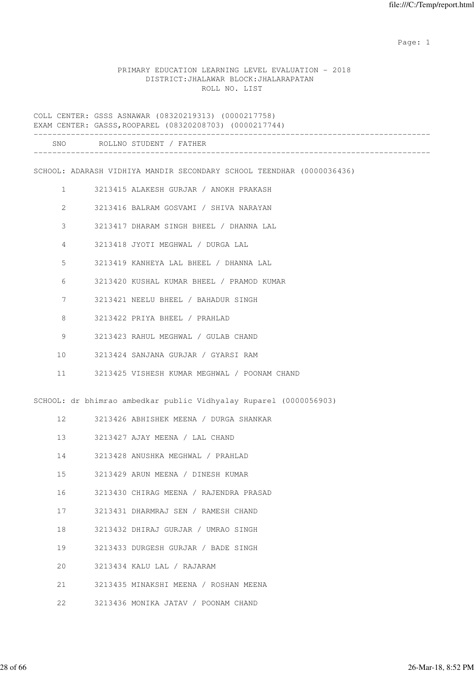### PRIMARY EDUCATION LEARNING LEVEL EVALUATION - 2018 DISTRICT:JHALAWAR BLOCK:JHALARAPATAN ROLL NO. LIST

COLL CENTER: GSSS ASNAWAR (08320219313) (0000217758) EXAM CENTER: GASSS,ROOPAREL (08320208703) (0000217744) ------------------------------------------------------------------------------------- SNO ROLLNO STUDENT / FATHER ------------------------------------------------------------------------------------- SCHOOL: ADARASH VIDHIYA MANDIR SECONDARY SCHOOL TEENDHAR (0000036436) 1 3213415 ALAKESH GURJAR / ANOKH PRAKASH 2 3213416 BALRAM GOSVAMI / SHIVA NARAYAN 3 3213417 DHARAM SINGH BHEEL / DHANNA LAL 4 3213418 JYOTI MEGHWAL / DURGA LAL 5 3213419 KANHEYA LAL BHEEL / DHANNA LAL 6 3213420 KUSHAL KUMAR BHEEL / PRAMOD KUMAR 7 3213421 NEELU BHEEL / BAHADUR SINGH 8 3213422 PRIYA BHEEL / PRAHLAD 9 3213423 RAHUL MEGHWAL / GULAB CHAND 10 3213424 SANJANA GURJAR / GYARSI RAM 11 3213425 VISHESH KUMAR MEGHWAL / POONAM CHAND SCHOOL: dr bhimrao ambedkar public Vidhyalay Ruparel (0000056903) 12 3213426 ABHISHEK MEENA / DURGA SHANKAR 13 3213427 AJAY MEENA / LAL CHAND 14 3213428 ANUSHKA MEGHWAL / PRAHLAD 15 3213429 ARUN MEENA / DINESH KUMAR 16 3213430 CHIRAG MEENA / RAJENDRA PRASAD 17 3213431 DHARMRAJ SEN / RAMESH CHAND 18 3213432 DHIRAJ GURJAR / UMRAO SINGH 19 3213433 DURGESH GURJAR / BADE SINGH 20 3213434 KALU LAL / RAJARAM

21 3213435 MINAKSHI MEENA / ROSHAN MEENA

22 3213436 MONIKA JATAV / POONAM CHAND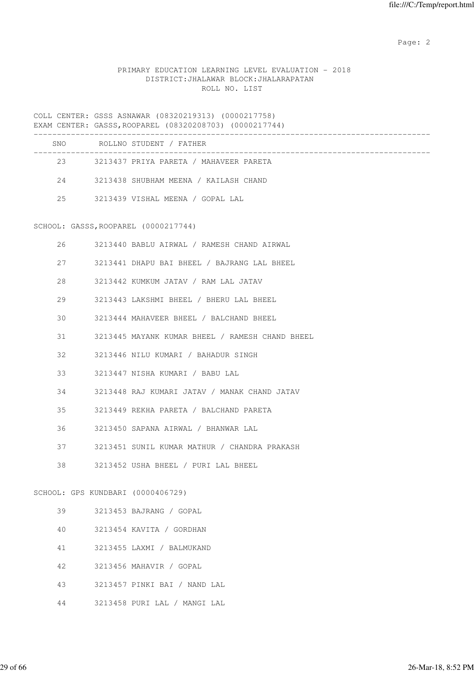# PRIMARY EDUCATION LEARNING LEVEL EVALUATION - 2018 DISTRICT:JHALAWAR BLOCK:JHALARAPATAN ROLL NO. LIST

|    | COLL CENTER: GSSS ASNAWAR (08320219313) (0000217758)<br>EXAM CENTER: GASSS, ROOPAREL (08320208703) (0000217744) |
|----|-----------------------------------------------------------------------------------------------------------------|
|    | SNO ROLLNO STUDENT / FATHER                                                                                     |
|    | 23 3213437 PRIYA PARETA / MAHAVEER PARETA                                                                       |
|    | 24 3213438 SHUBHAM MEENA / KAILASH CHAND                                                                        |
|    | 25 3213439 VISHAL MEENA / GOPAL LAL                                                                             |
|    | SCHOOL: GASSS, ROOPAREL (0000217744)                                                                            |
| 26 | 3213440 BABLU AIRWAL / RAMESH CHAND AIRWAL                                                                      |
| 27 | 3213441 DHAPU BAI BHEEL / BAJRANG LAL BHEEL                                                                     |
| 28 | 3213442 KUMKUM JATAV / RAM LAL JATAV                                                                            |
| 29 | 3213443 LAKSHMI BHEEL / BHERU LAL BHEEL                                                                         |
| 30 | 3213444 MAHAVEER BHEEL / BALCHAND BHEEL                                                                         |
| 31 | 3213445 MAYANK KUMAR BHEEL / RAMESH CHAND BHEEL                                                                 |
| 32 | 3213446 NILU KUMARI / BAHADUR SINGH                                                                             |
| 33 | 3213447 NISHA KUMARI / BABU LAL                                                                                 |
| 34 | 3213448 RAJ KUMARI JATAV / MANAK CHAND JATAV                                                                    |
| 35 | 3213449 REKHA PARETA / BALCHAND PARETA                                                                          |
| 36 | 3213450 SAPANA AIRWAL / BHANWAR LAL                                                                             |
| 37 | 3213451 SUNIL KUMAR MATHUR / CHANDRA PRAKASH                                                                    |
| 38 | 3213452 USHA BHEEL / PURI LAL BHEEL                                                                             |
|    | SCHOOL: GPS KUNDBARI (0000406729)                                                                               |
| 39 | 3213453 BAJRANG / GOPAL                                                                                         |
| 40 | 3213454 KAVITA / GORDHAN                                                                                        |
| 41 | 3213455 LAXMI / BALMUKAND                                                                                       |
| 42 | 3213456 MAHAVIR / GOPAL                                                                                         |
| 43 | 3213457 PINKI BAI / NAND LAL                                                                                    |

44 3213458 PURI LAL / MANGI LAL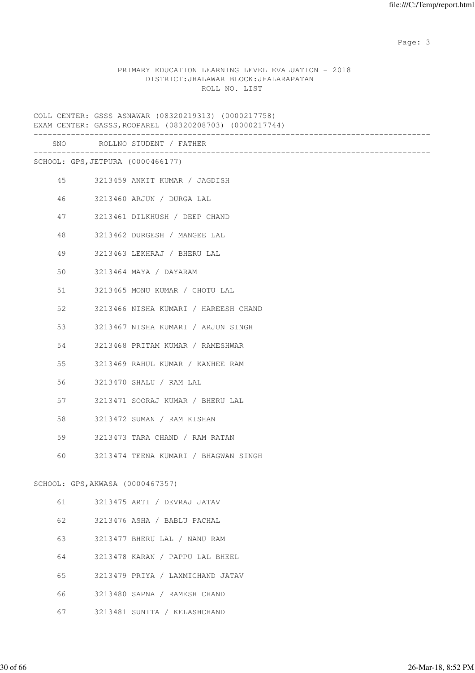### PRIMARY EDUCATION LEARNING LEVEL EVALUATION - 2018 DISTRICT:JHALAWAR BLOCK:JHALARAPATAN ROLL NO. LIST

COLL CENTER: GSSS ASNAWAR (08320219313) (0000217758) EXAM CENTER: GASSS,ROOPAREL (08320208703) (0000217744) ------------------------------------------------------------------------------------- SNO ROLLNO STUDENT / FATHER ------------------------------------------------------------------------------------- SCHOOL: GPS,JETPURA (0000466177) 45 3213459 ANKIT KUMAR / JAGDISH 46 3213460 ARJUN / DURGA LAL 47 3213461 DILKHUSH / DEEP CHAND 48 3213462 DURGESH / MANGEE LAL 49 3213463 LEKHRAJ / BHERU LAL 50 3213464 MAYA / DAYARAM 51 3213465 MONU KUMAR / CHOTU LAL 52 3213466 NISHA KUMARI / HAREESH CHAND 53 3213467 NISHA KUMARI / ARJUN SINGH 54 3213468 PRITAM KUMAR / RAMESHWAR 55 3213469 RAHUL KUMAR / KANHEE RAM 56 3213470 SHALU / RAM LAL 57 3213471 SOORAJ KUMAR / BHERU LAL 58 3213472 SUMAN / RAM KISHAN 59 3213473 TARA CHAND / RAM RATAN 60 3213474 TEENA KUMARI / BHAGWAN SINGH SCHOOL: GPS,AKWASA (0000467357) 61 3213475 ARTI / DEVRAJ JATAV 62 3213476 ASHA / BABLU PACHAL 63 3213477 BHERU LAL / NANU RAM 64 3213478 KARAN / PAPPU LAL BHEEL 65 3213479 PRIYA / LAXMICHAND JATAV 66 3213480 SAPNA / RAMESH CHAND

- 
- 67 3213481 SUNITA / KELASHCHAND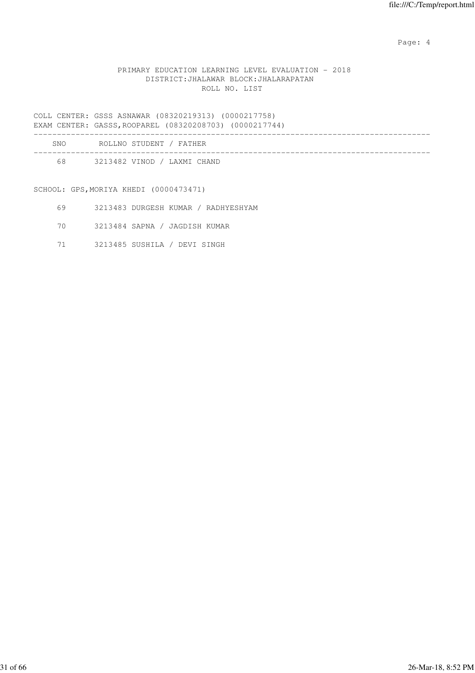Page: 4  $P$ 

### PRIMARY EDUCATION LEARNING LEVEL EVALUATION - 2018 DISTRICT:JHALAWAR BLOCK:JHALARAPATAN ROLL NO. LIST

COLL CENTER: GSSS ASNAWAR (08320219313) (0000217758) EXAM CENTER: GASSS,ROOPAREL (08320208703) (0000217744)

|     | UAANI CUNIUIN, UNUUULIUCULANUU (UUJAUAUU IUJ) (UUUUAI III) |  |
|-----|------------------------------------------------------------|--|
| SNO | ROLLNO STUDENT / FATHER                                    |  |
|     |                                                            |  |

68 3213482 VINOD / LAXMI CHAND

SCHOOL: GPS,MORIYA KHEDI (0000473471)

- 69 3213483 DURGESH KUMAR / RADHYESHYAM
- 70 3213484 SAPNA / JAGDISH KUMAR
- 71 3213485 SUSHILA / DEVI SINGH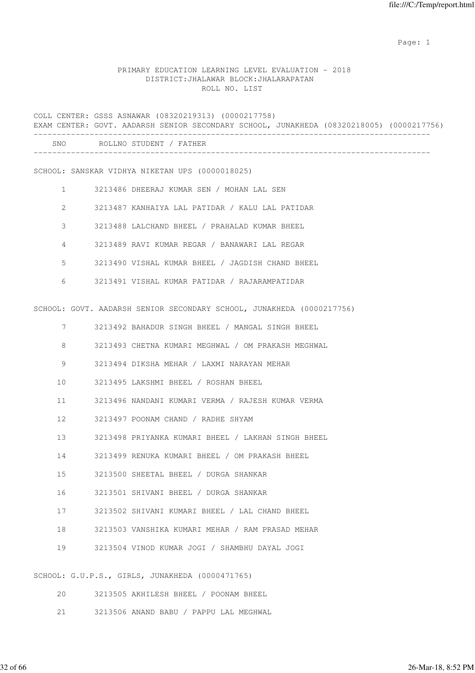### PRIMARY EDUCATION LEARNING LEVEL EVALUATION - 2018 DISTRICT:JHALAWAR BLOCK:JHALARAPATAN ROLL NO. LIST

COLL CENTER: GSSS ASNAWAR (08320219313) (0000217758) EXAM CENTER: GOVT. AADARSH SENIOR SECONDARY SCHOOL, JUNAKHEDA (08320218005) (0000217756) ------------------------------------------------------------------------------------- SNO ROLLNO STUDENT / FATHER -------------------------------------------------------------------------------------

SCHOOL: SANSKAR VIDHYA NIKETAN UPS (0000018025)

- 1 3213486 DHEERAJ KUMAR SEN / MOHAN LAL SEN
- 2 3213487 KANHAIYA LAL PATIDAR / KALU LAL PATIDAR
- 3 3213488 LALCHAND BHEEL / PRAHALAD KUMAR BHEEL
- 4 3213489 RAVI KUMAR REGAR / BANAWARI LAL REGAR
- 5 3213490 VISHAL KUMAR BHEEL / JAGDISH CHAND BHEEL
- 6 3213491 VISHAL KUMAR PATIDAR / RAJARAMPATIDAR

SCHOOL: GOVT. AADARSH SENIOR SECONDARY SCHOOL, JUNAKHEDA (0000217756)

7 3213492 BAHADUR SINGH BHEEL / MANGAL SINGH BHEEL

8 3213493 CHETNA KUMARI MEGHWAL / OM PRAKASH MEGHWAL

- 9 3213494 DIKSHA MEHAR / LAXMI NARAYAN MEHAR
- 10 3213495 LAKSHMI BHEEL / ROSHAN BHEEL
- 11 3213496 NANDANI KUMARI VERMA / RAJESH KUMAR VERMA
- 12 3213497 POONAM CHAND / RADHE SHYAM
- 13 3213498 PRIYANKA KUMARI BHEEL / LAKHAN SINGH BHEEL
- 14 3213499 RENUKA KUMARI BHEEL / OM PRAKASH BHEEL
- 15 3213500 SHEETAL BHEEL / DURGA SHANKAR
- 16 3213501 SHIVANI BHEEL / DURGA SHANKAR
- 17 3213502 SHIVANI KUMARI BHEEL / LAL CHAND BHEEL
- 18 3213503 VANSHIKA KUMARI MEHAR / RAM PRASAD MEHAR
- 19 3213504 VINOD KUMAR JOGI / SHAMBHU DAYAL JOGI

SCHOOL: G.U.P.S., GIRLS, JUNAKHEDA (0000471765)

- 20 3213505 AKHILESH BHEEL / POONAM BHEEL
- 21 3213506 ANAND BABU / PAPPU LAL MEGHWAL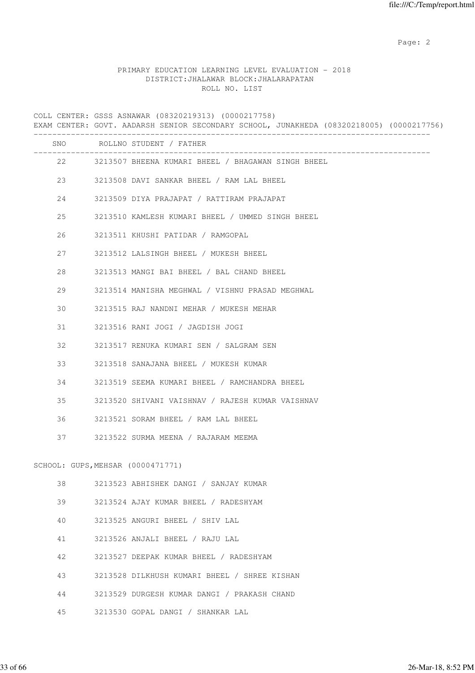# PRIMARY EDUCATION LEARNING LEVEL EVALUATION - 2018 DISTRICT:JHALAWAR BLOCK:JHALARAPATAN ROLL NO. LIST

COLL CENTER: GSSS ASNAWAR (08320219313) (0000217758) EXAM CENTER: GOVT. AADARSH SENIOR SECONDARY SCHOOL, JUNAKHEDA (08320218005) (0000217756)

|  |  |  |  | RARI ÇENIEN, GOVI, AADANGH QENIQN QEÇQNDANI QÇHQQI, QONANHEDA (QOQZQZIQQQJ) (QQQQZITTIQQ) |  |
|--|--|--|--|-------------------------------------------------------------------------------------------|--|
|  |  |  |  |                                                                                           |  |

|    |                                   | SNO ROLLNO STUDENT / FATHER                           |
|----|-----------------------------------|-------------------------------------------------------|
|    |                                   | 22 3213507 BHEENA KUMARI BHEEL / BHAGAWAN SINGH BHEEL |
|    |                                   | 23 3213508 DAVI SANKAR BHEEL / RAM LAL BHEEL          |
| 24 |                                   | 3213509 DIYA PRAJAPAT / RATTIRAM PRAJAPAT             |
| 25 |                                   | 3213510 KAMLESH KUMARI BHEEL / UMMED SINGH BHEEL      |
| 26 |                                   | 3213511 KHUSHI PATIDAR / RAMGOPAL                     |
| 27 |                                   | 3213512 LALSINGH BHEEL / MUKESH BHEEL                 |
| 28 |                                   | 3213513 MANGI BAI BHEEL / BAL CHAND BHEEL             |
| 29 |                                   | 3213514 MANISHA MEGHWAL / VISHNU PRASAD MEGHWAL       |
| 30 |                                   | 3213515 RAJ NANDNI MEHAR / MUKESH MEHAR               |
| 31 |                                   | 3213516 RANI JOGI / JAGDISH JOGI                      |
| 32 |                                   | 3213517 RENUKA KUMARI SEN / SALGRAM SEN               |
| 33 |                                   | 3213518 SANAJANA BHEEL / MUKESH KUMAR                 |
| 34 |                                   | 3213519 SEEMA KUMARI BHEEL / RAMCHANDRA BHEEL         |
| 35 |                                   | 3213520 SHIVANI VAISHNAV / RAJESH KUMAR VAISHNAV      |
| 36 |                                   | 3213521 SORAM BHEEL / RAM LAL BHEEL                   |
| 37 |                                   | 3213522 SURMA MEENA / RAJARAM MEEMA                   |
|    |                                   |                                                       |
|    | SCHOOL: GUPS, MEHSAR (0000471771) |                                                       |
| 38 |                                   | 3213523 ABHISHEK DANGI / SANJAY KUMAR                 |
| 39 |                                   | 3213524 AJAY KUMAR BHEEL / RADESHYAM                  |
| 40 |                                   | 3213525 ANGURI BHEEL / SHIV LAL                       |
| 41 |                                   | 3213526 ANJALI BHEEL / RAJU LAL                       |
| 42 |                                   | 3213527 DEEPAK KUMAR BHEEL / RADESHYAM                |
| 43 |                                   | 3213528 DILKHUSH KUMARI BHEEL / SHREE KISHAN          |
| 44 |                                   | 3213529 DURGESH KUMAR DANGI / PRAKASH CHAND           |
| 45 |                                   | 3213530 GOPAL DANGI / SHANKAR LAL                     |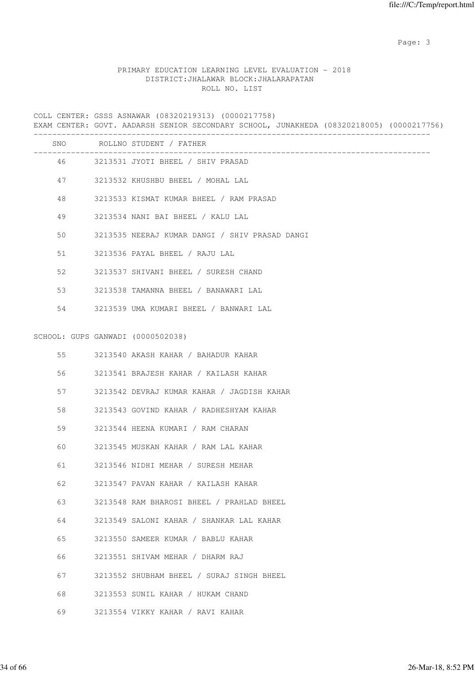# PRIMARY EDUCATION LEARNING LEVEL EVALUATION - 2018 DISTRICT:JHALAWAR BLOCK:JHALARAPATAN ROLL NO. LIST

COLL CENTER: GSSS ASNAWAR (08320219313) (0000217758) EXAM CENTER: GOVT. AADARSH SENIOR SECONDARY SCHOOL, JUNAKHEDA (08320218005) (0000217756)

|    |                                   | SNO ROLLNO STUDENT / FATHER                    |
|----|-----------------------------------|------------------------------------------------|
|    |                                   | 46 3213531 JYOTI BHEEL / SHIV PRASAD           |
|    |                                   | 47 3213532 KHUSHBU BHEEL / MOHAL LAL           |
| 48 |                                   | 3213533 KISMAT KUMAR BHEEL / RAM PRASAD        |
| 49 |                                   | 3213534 NANI BAI BHEEL / KALU LAL              |
| 50 |                                   | 3213535 NEERAJ KUMAR DANGI / SHIV PRASAD DANGI |
| 51 |                                   | 3213536 PAYAL BHEEL / RAJU LAL                 |
| 52 |                                   | 3213537 SHIVANI BHEEL / SURESH CHAND           |
| 53 |                                   | 3213538 TAMANNA BHEEL / BANAWARI LAL           |
|    |                                   | 54 3213539 UMA KUMARI BHEEL / BANWARI LAL      |
|    |                                   |                                                |
|    | SCHOOL: GUPS GANWADI (0000502038) |                                                |
| 55 |                                   | 3213540 AKASH KAHAR / BAHADUR KAHAR            |
| 56 |                                   | 3213541 BRAJESH KAHAR / KAILASH KAHAR          |
| 57 |                                   | 3213542 DEVRAJ KUMAR KAHAR / JAGDISH KAHAR     |
| 58 |                                   | 3213543 GOVIND KAHAR / RADHESHYAM KAHAR        |
| 59 |                                   | 3213544 HEENA KUMARI / RAM CHARAN              |
| 60 |                                   | 3213545 MUSKAN KAHAR / RAM LAL KAHAR           |
| 61 |                                   | 3213546 NIDHI MEHAR / SURESH MEHAR             |
| 62 |                                   | 3213547 PAVAN KAHAR / KAILASH KAHAR            |
| 63 |                                   | 3213548 RAM BHAROSI BHEEL / PRAHLAD BHEEL      |
| 64 |                                   | 3213549 SALONI KAHAR / SHANKAR LAL KAHAR       |
| 65 |                                   | 3213550 SAMEER KUMAR / BABLU KAHAR             |
| 66 |                                   | 3213551 SHIVAM MEHAR / DHARM RAJ               |
| 67 |                                   | 3213552 SHUBHAM BHEEL / SURAJ SINGH BHEEL      |
| 68 |                                   | 3213553 SUNIL KAHAR / HUKAM CHAND              |
| 69 |                                   | 3213554 VIKKY KAHAR / RAVI KAHAR               |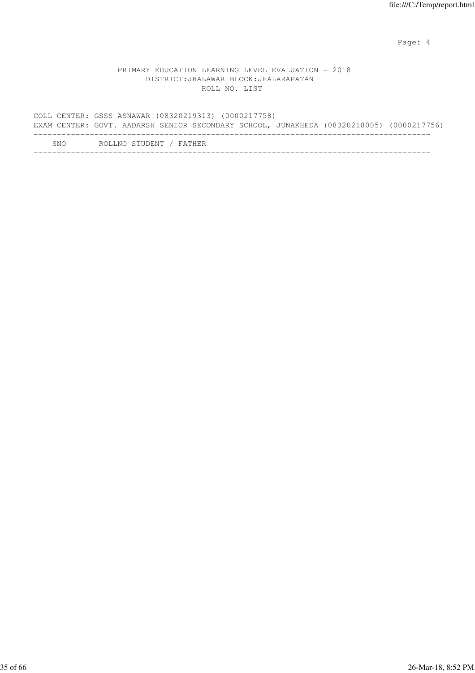Page: 4  $P$ 

### PRIMARY EDUCATION LEARNING LEVEL EVALUATION - 2018 DISTRICT:JHALAWAR BLOCK:JHALARAPATAN ROLL NO. LIST

COLL CENTER: GSSS ASNAWAR (08320219313) (0000217758) EXAM CENTER: GOVT. AADARSH SENIOR SECONDARY SCHOOL, JUNAKHEDA (08320218005) (0000217756) ------------------------------------------------------------------------------------- SNO ROLLNO STUDENT / FATHER -------------------------------------------------------------------------------------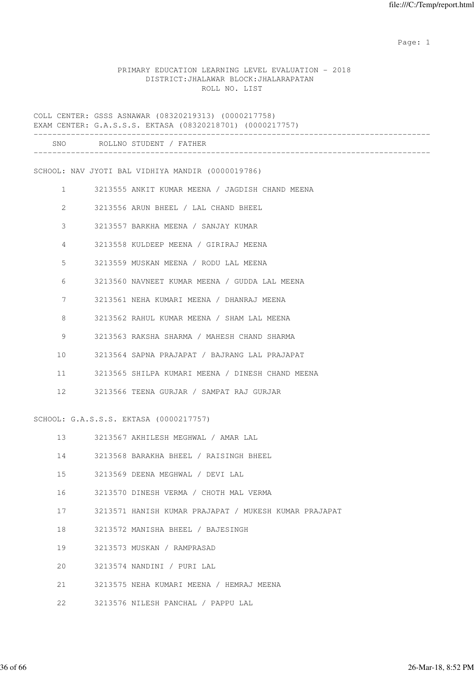### PRIMARY EDUCATION LEARNING LEVEL EVALUATION - 2018 DISTRICT:JHALAWAR BLOCK:JHALARAPATAN ROLL NO. LIST

COLL CENTER: GSSS ASNAWAR (08320219313) (0000217758) EXAM CENTER: G.A.S.S.S. EKTASA (08320218701) (0000217757) ------------------------------------------------------------------------------------- SNO ROLLNO STUDENT / FATHER ------------------------------------------------------------------------------------- SCHOOL: NAV JYOTI BAL VIDHIYA MANDIR (0000019786) 1 3213555 ANKIT KUMAR MEENA / JAGDISH CHAND MEENA 2 3213556 ARUN BHEEL / LAL CHAND BHEEL 3 3213557 BARKHA MEENA / SANJAY KUMAR 4 3213558 KULDEEP MEENA / GIRIRAJ MEENA 5 3213559 MUSKAN MEENA / RODU LAL MEENA 6 3213560 NAVNEET KUMAR MEENA / GUDDA LAL MEENA 7 3213561 NEHA KUMARI MEENA / DHANRAJ MEENA 8 3213562 RAHUL KUMAR MEENA / SHAM LAL MEENA 9 3213563 RAKSHA SHARMA / MAHESH CHAND SHARMA 10 3213564 SAPNA PRAJAPAT / BAJRANG LAL PRAJAPAT 11 3213565 SHILPA KUMARI MEENA / DINESH CHAND MEENA 12 3213566 TEENA GURJAR / SAMPAT RAJ GURJAR SCHOOL: G.A.S.S.S. EKTASA (0000217757) 13 3213567 AKHILESH MEGHWAL / AMAR LAL 14 3213568 BARAKHA BHEEL / RAISINGH BHEEL 15 3213569 DEENA MEGHWAL / DEVI LAL 16 3213570 DINESH VERMA / CHOTH MAL VERMA 17 3213571 HANISH KUMAR PRAJAPAT / MUKESH KUMAR PRAJAPAT 18 3213572 MANISHA BHEEL / BAJESINGH 19 3213573 MUSKAN / RAMPRASAD 20 3213574 NANDINI / PURI LAL 21 3213575 NEHA KUMARI MEENA / HEMRAJ MEENA 22 3213576 NILESH PANCHAL / PAPPU LAL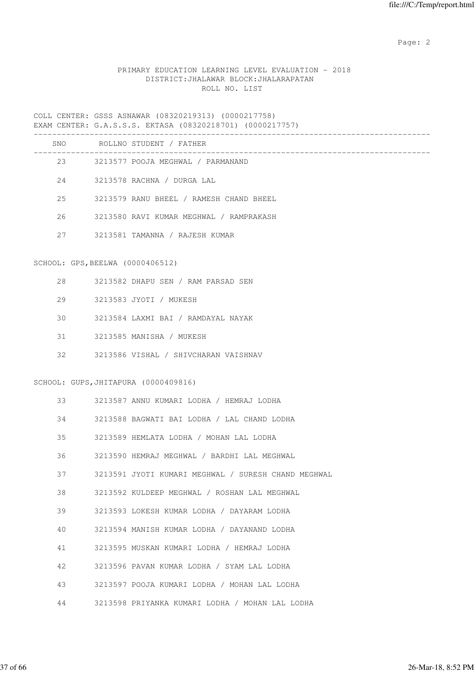# PRIMARY EDUCATION LEARNING LEVEL EVALUATION - 2018 DISTRICT:JHALAWAR BLOCK:JHALARAPATAN ROLL NO. LIST

|    |                                  | SNO ROLLNO STUDENT / FATHER                         |
|----|----------------------------------|-----------------------------------------------------|
|    |                                  | 23 3213577 POOJA MEGHWAL / PARMANAND                |
|    | 24                               | 3213578 RACHNA / DURGA LAL                          |
| 25 |                                  | 3213579 RANU BHEEL / RAMESH CHAND BHEEL             |
| 26 |                                  | 3213580 RAVI KUMAR MEGHWAL / RAMPRAKASH             |
| 27 |                                  | 3213581 TAMANNA / RAJESH KUMAR                      |
|    | SCHOOL: GPS, BEELWA (0000406512) |                                                     |
|    | $28 - 2$                         | 3213582 DHAPU SEN / RAM PARSAD SEN                  |
|    | 29                               | 3213583 JYOTI / MUKESH                              |
| 30 |                                  | 3213584 LAXMI BAI / RAMDAYAL NAYAK                  |
|    | 31 — 1                           | 3213585 MANISHA / MUKESH                            |
|    |                                  | 32 3213586 VISHAL / SHIVCHARAN VAISHNAV             |
|    |                                  | SCHOOL: GUPS, JHITAPURA (0000409816)                |
|    | 33 — 1                           | 3213587 ANNU KUMARI LODHA / HEMRAJ LODHA            |
| 34 |                                  | 3213588 BAGWATI BAI LODHA / LAL CHAND LODHA         |
| 35 |                                  | 3213589 HEMLATA LODHA / MOHAN LAL LODHA             |
| 36 |                                  | 3213590 HEMRAJ MEGHWAL / BARDHI LAL MEGHWAL         |
| 37 |                                  | 3213591 JYOTI KUMARI MEGHWAL / SURESH CHAND MEGHWAL |
| 38 |                                  | 3213592 KULDEEP MEGHWAL / ROSHAN LAL MEGHWAL        |
| 39 |                                  | 3213593 LOKESH KUMAR LODHA / DAYARAM LODHA          |
| 40 |                                  | 3213594 MANISH KUMAR LODHA / DAYANAND LODHA         |
| 41 |                                  | 3213595 MUSKAN KUMARI LODHA / HEMRAJ LODHA          |
| 42 |                                  | 3213596 PAVAN KUMAR LODHA / SYAM LAL LODHA          |
| 43 |                                  | 3213597 POOJA KUMARI LODHA / MOHAN LAL LODHA        |
| 44 |                                  | 3213598 PRIYANKA KUMARI LODHA / MOHAN LAL LODHA     |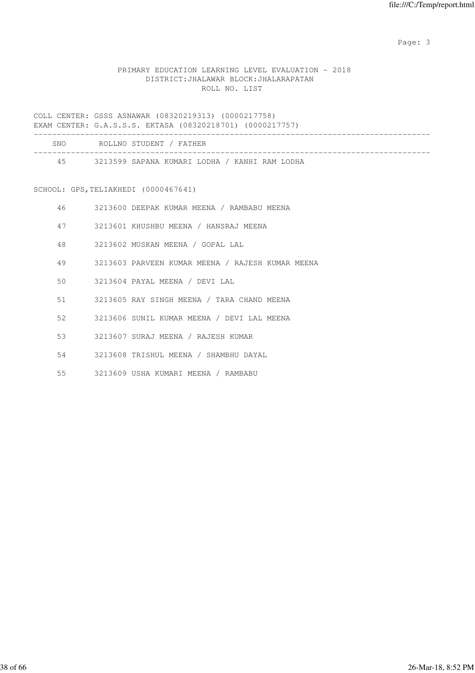# PRIMARY EDUCATION LEARNING LEVEL EVALUATION - 2018 DISTRICT:JHALAWAR BLOCK:JHALARAPATAN ROLL NO. LIST

COLL CENTER: GSSS ASNAWAR (08320219313) (0000217758) EXAM CENTER: G.A.S.S.S. EKTASA (08320218701) (0000217757)

| SNO | ROLLNO STUDENT / FATHER                       |
|-----|-----------------------------------------------|
| 45  | 3213599 SAPANA KUMARI LODHA / KANHI RAM LODHA |

# SCHOOL: GPS, TELIAKHEDI (0000467641)

| 46 | 3213600 DEEPAK KUMAR MEENA / RAMBABU MEENA       |
|----|--------------------------------------------------|
| 47 | 3213601 KHUSHBU MEENA / HANSRAJ MEENA            |
| 48 | 3213602 MUSKAN MEENA / GOPAL LAL                 |
| 49 | 3213603 PARVEEN KUMAR MEENA / RAJESH KUMAR MEENA |
| 50 | 3213604 PAYAL MEENA / DEVI LAL                   |
| 51 | 3213605 RAY SINGH MEENA / TARA CHAND MEENA       |
| 52 | 3213606 SUNIL KUMAR MEENA / DEVI LAL MEENA       |
| 53 | 3213607 SURAJ MEENA / RAJESH KUMAR               |
| 54 | 3213608 TRISHUL MEENA / SHAMBHU DAYAL            |

55 3213609 USHA KUMARI MEENA / RAMBABU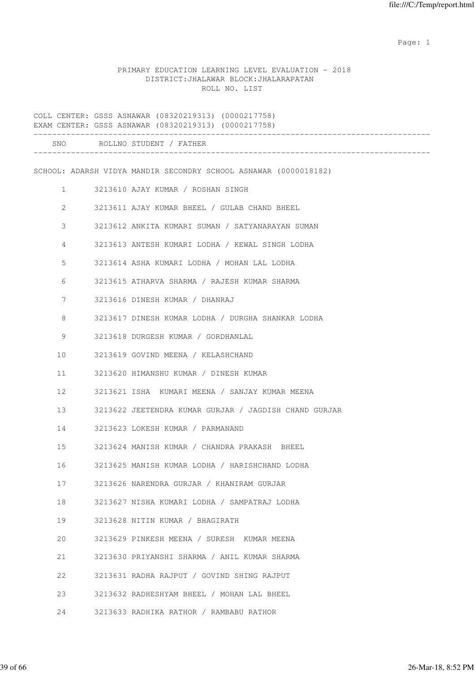# PRIMARY EDUCATION LEARNING LEVEL EVALUATION - 2018 DISTRICT:JHALAWAR BLOCK:JHALARAPATAN ROLL NO. LIST

|                | COLL CENTER: GSSS ASNAWAR (08320219313) (0000217758)<br>EXAM CENTER: GSSS ASNAWAR (08320219313) (0000217758) |
|----------------|--------------------------------------------------------------------------------------------------------------|
|                | SNO ROLLNO STUDENT / FATHER                                                                                  |
|                | SCHOOL: ADARSH VIDYA MANDIR SECONDRY SCHOOL ASNAWAR (0000018182)                                             |
| $\mathbf{1}$   | 3213610 AJAY KUMAR / ROSHAN SINGH                                                                            |
| 2              | 3213611 AJAY KUMAR BHEEL / GULAB CHAND BHEEL                                                                 |
| 3              | 3213612 ANKITA KUMARI SUMAN / SATYANARAYAN SUMAN                                                             |
| $\overline{4}$ | 3213613 ANTESH KUMARI LODHA / KEWAL SINGH LODHA                                                              |
| 5              | 3213614 ASHA KUMARI LODHA / MOHAN LAL LODHA                                                                  |
| 6              | 3213615 ATHARVA SHARMA / RAJESH KUMAR SHARMA                                                                 |
| 7              | 3213616 DINESH KUMAR / DHANRAJ                                                                               |
| 8              | 3213617 DINESH KUMAR LODHA / DURGHA SHANKAR LODHA                                                            |
| 9              | 3213618 DURGESH KUMAR / GORDHANLAL                                                                           |
| 10             | 3213619 GOVIND MEENA / KELASHCHAND                                                                           |
| 11             | 3213620 HIMANSHU KUMAR / DINESH KUMAR                                                                        |
| 12             | 3213621 ISHA KUMARI MEENA / SANJAY KUMAR MEENA                                                               |
| 13             | 3213622 JEETENDRA KUMAR GURJAR / JAGDISH CHAND GURJAR                                                        |
| 14             | 3213623 LOKESH KUMAR / PARMANAND                                                                             |
| 15             | 3213624 MANISH KUMAR / CHANDRA PRAKASH BHEEL                                                                 |
| 16             | 3213625 MANISH KUMAR LODHA / HARISHCHAND LODHA                                                               |
| 17             | 3213626 NARENDRA GURJAR / KHANIRAM GURJAR                                                                    |
| 18             | 3213627 NISHA KUMARI LODHA / SAMPATRAJ LODHA                                                                 |
| 19             | 3213628 NITIN KUMAR / BHAGIRATH                                                                              |
| 20             | 3213629 PINKESH MEENA / SURESH KUMAR MEENA                                                                   |
| 21             | 3213630 PRIYANSHI SHARMA / ANIL KUMAR SHARMA                                                                 |
| 22             | 3213631 RADHA RAJPUT / GOVIND SHING RAJPUT                                                                   |
| 23             | 3213632 RADHESHYAM BHEEL / MOHAN LAL BHEEL                                                                   |
| 24             | 3213633 RADHIKA RATHOR / RAMBABU RATHOR                                                                      |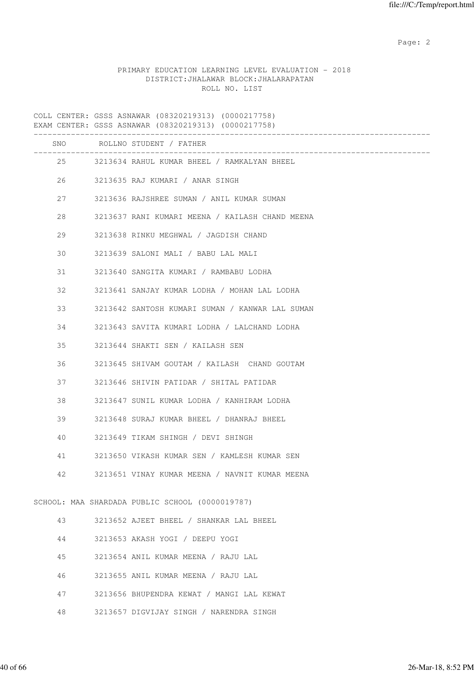# PRIMARY EDUCATION LEARNING LEVEL EVALUATION - 2018 DISTRICT:JHALAWAR BLOCK:JHALARAPATAN ROLL NO. LIST

COLL CENTER: GSSS ASNAWAR (08320219313) (0000217758) EXAM CENTER: GSSS ASNAWAR (08320219313) (0000217758) -------------------------------------------------------------------------------------

| SNO |    | ROLLNO STUDENT / FATHER                         |
|-----|----|-------------------------------------------------|
|     | 25 | 3213634 RAHUL KUMAR BHEEL / RAMKALYAN BHEEL     |
| 26  |    | 3213635 RAJ KUMARI / ANAR SINGH                 |
| 27  |    | 3213636 RAJSHREE SUMAN / ANIL KUMAR SUMAN       |
| 28  |    | 3213637 RANI KUMARI MEENA / KAILASH CHAND MEENA |
| 29  |    | 3213638 RINKU MEGHWAL / JAGDISH CHAND           |
| 30  |    | 3213639 SALONI MALI / BABU LAL MALI             |
| 31  |    | 3213640 SANGITA KUMARI / RAMBABU LODHA          |
| 32  |    | 3213641 SANJAY KUMAR LODHA / MOHAN LAL LODHA    |
| 33  |    | 3213642 SANTOSH KUMARI SUMAN / KANWAR LAL SUMAN |
| 34  |    | 3213643 SAVITA KUMARI LODHA / LALCHAND LODHA    |
| 35  |    | 3213644 SHAKTI SEN / KAILASH SEN                |
| 36  |    | 3213645 SHIVAM GOUTAM / KAILASH CHAND GOUTAM    |
| 37  |    | 3213646 SHIVIN PATIDAR / SHITAL PATIDAR         |
| 38  |    | 3213647 SUNIL KUMAR LODHA / KANHIRAM LODHA      |
| 39  |    | 3213648 SURAJ KUMAR BHEEL / DHANRAJ BHEEL       |
| 40  |    | 3213649 TIKAM SHINGH / DEVI SHINGH              |
| 41  |    | 3213650 VIKASH KUMAR SEN / KAMLESH KUMAR SEN    |
| 42  |    | 3213651 VINAY KUMAR MEENA / NAVNIT KUMAR MEENA  |
|     |    |                                                 |
|     |    | SCHOOL: MAA SHARDADA PUBLIC SCHOOL (0000019787) |
| 43  |    | 3213652 AJEET BHEEL / SHANKAR LAL BHEEL         |
| 44  |    | 3213653 AKASH YOGI / DEEPU YOGI                 |
| 45  |    | 3213654 ANIL KUMAR MEENA / RAJU LAL             |
| 46  |    | 3213655 ANIL KUMAR MEENA / RAJU LAL             |
| 47  |    | 3213656 BHUPENDRA KEWAT / MANGI LAL KEWAT       |
| 48  |    | 3213657 DIGVIJAY SINGH / NARENDRA SINGH         |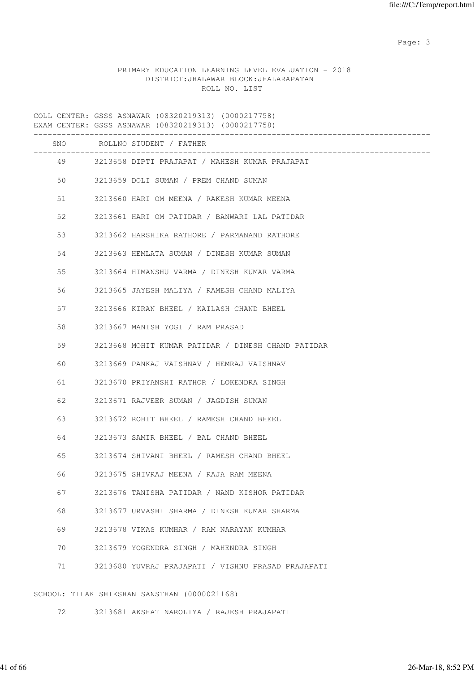# PRIMARY EDUCATION LEARNING LEVEL EVALUATION - 2018 DISTRICT:JHALAWAR BLOCK:JHALARAPATAN ROLL NO. LIST

COLL CENTER: GSSS ASNAWAR (08320219313) (0000217758) EXAM CENTER: GSSS ASNAWAR (08320219313) (0000217758) ------------------------------------------------------------------------------------- SNO ROLLNO STUDENT / FATHER ------------------------------------------------------------------------------------- 49 3213658 DIPTI PRAJAPAT / MAHESH KUMAR PRAJAPAT 50 3213659 DOLI SUMAN / PREM CHAND SUMAN 51 3213660 HARI OM MEENA / RAKESH KUMAR MEENA 52 3213661 HARI OM PATIDAR / BANWARI LAL PATIDAR 53 3213662 HARSHIKA RATHORE / PARMANAND RATHORE 54 3213663 HEMLATA SUMAN / DINESH KUMAR SUMAN 55 3213664 HIMANSHU VARMA / DINESH KUMAR VARMA 56 3213665 JAYESH MALIYA / RAMESH CHAND MALIYA 57 3213666 KIRAN BHEEL / KAILASH CHAND BHEEL 58 3213667 MANISH YOGI / RAM PRASAD 59 3213668 MOHIT KUMAR PATIDAR / DINESH CHAND PATIDAR 60 3213669 PANKAJ VAISHNAV / HEMRAJ VAISHNAV 61 3213670 PRIYANSHI RATHOR / LOKENDRA SINGH 62 3213671 RAJVEER SUMAN / JAGDISH SUMAN 63 3213672 ROHIT BHEEL / RAMESH CHAND BHEEL 64 3213673 SAMIR BHEEL / BAL CHAND BHEEL 65 3213674 SHIVANI BHEEL / RAMESH CHAND BHEEL 66 3213675 SHIVRAJ MEENA / RAJA RAM MEENA 67 3213676 TANISHA PATIDAR / NAND KISHOR PATIDAR 68 3213677 URVASHI SHARMA / DINESH KUMAR SHARMA 69 3213678 VIKAS KUMHAR / RAM NARAYAN KUMHAR 70 3213679 YOGENDRA SINGH / MAHENDRA SINGH 71 3213680 YUVRAJ PRAJAPATI / VISHNU PRASAD PRAJAPATI

SCHOOL: TILAK SHIKSHAN SANSTHAN (0000021168)

72 3213681 AKSHAT NAROLIYA / RAJESH PRAJAPATI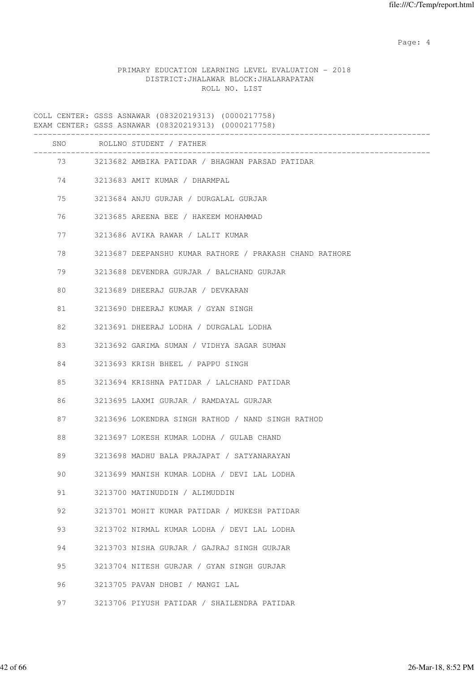Page: 4  $P$ 

# PRIMARY EDUCATION LEARNING LEVEL EVALUATION - 2018 DISTRICT:JHALAWAR BLOCK:JHALARAPATAN ROLL NO. LIST

|          | SNO ROLLNO STUDENT / FATHER                             |
|----------|---------------------------------------------------------|
|          | 73 3213682 AMBIKA PATIDAR / BHAGWAN PARSAD PATIDAR      |
| 74 — 200 | 3213683 AMIT KUMAR / DHARMPAL                           |
| 75 — 17  | 3213684 ANJU GURJAR / DURGALAL GURJAR                   |
| 76       | 3213685 AREENA BEE / HAKEEM MOHAMMAD                    |
| 77       | 3213686 AVIKA RAWAR / LALIT KUMAR                       |
| 78       | 3213687 DEEPANSHU KUMAR RATHORE / PRAKASH CHAND RATHORE |
| 79 — 1   | 3213688 DEVENDRA GURJAR / BALCHAND GURJAR               |
| 80       | 3213689 DHEERAJ GURJAR / DEVKARAN                       |
| 81       | 3213690 DHEERAJ KUMAR / GYAN SINGH                      |
| 82       | 3213691 DHEERAJ LODHA / DURGALAL LODHA                  |
| 83       | 3213692 GARIMA SUMAN / VIDHYA SAGAR SUMAN               |
| 84       | 3213693 KRISH BHEEL / PAPPU SINGH                       |
| 85       | 3213694 KRISHNA PATIDAR / LALCHAND PATIDAR              |
| 86       | 3213695 LAXMI GURJAR / RAMDAYAL GURJAR                  |
| 87 — 18  | 3213696 LOKENDRA SINGH RATHOD / NAND SINGH RATHOD       |
| 88       | 3213697 LOKESH KUMAR LODHA / GULAB CHAND                |
| 89       | 3213698 MADHU BALA PRAJAPAT / SATYANARAYAN              |
| 90       | 3213699 MANISH KUMAR LODHA / DEVI LAL LODHA             |
| 91       | 3213700 MATINUDDIN / ALIMUDDIN                          |
| 92       | 3213701 MOHIT KUMAR PATIDAR / MUKESH PATIDAR            |
| 93       | 3213702 NIRMAL KUMAR LODHA / DEVI LAL LODHA             |
| 94       | 3213703 NISHA GURJAR / GAJRAJ SINGH GURJAR              |
| 95       | 3213704 NITESH GURJAR / GYAN SINGH GURJAR               |
| 96       | 3213705 PAVAN DHOBI / MANGI LAL                         |
| 97       | 3213706 PIYUSH PATIDAR / SHAILENDRA PATIDAR             |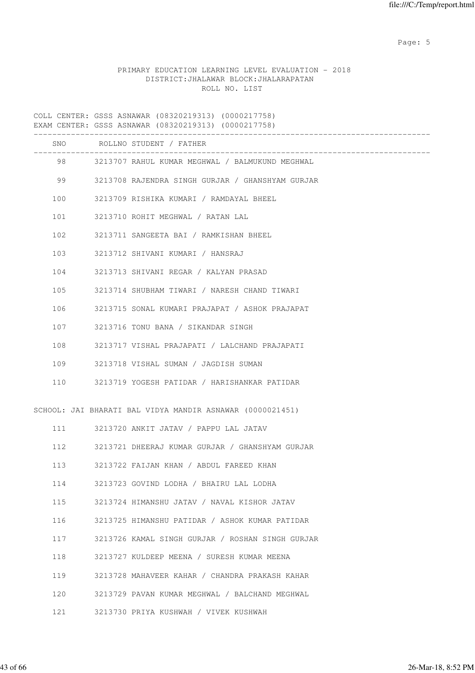Page: 5  $P$  and  $P$  and  $P$  and  $P$  and  $P$  and  $P$  and  $P$  and  $P$  and  $P$  and  $P$  and  $P$  and  $P$  and  $P$  and  $P$  and  $P$  and  $P$  and  $P$  and  $P$  and  $P$  and  $P$  and  $P$  and  $P$  and  $P$  and  $P$  and  $P$  and  $P$  and  $P$  an

# PRIMARY EDUCATION LEARNING LEVEL EVALUATION - 2018 DISTRICT:JHALAWAR BLOCK:JHALARAPATAN ROLL NO. LIST

|     | SNO ROLLNO STUDENT / FATHER                               |
|-----|-----------------------------------------------------------|
|     | 98 3213707 RAHUL KUMAR MEGHWAL / BALMUKUND MEGHWAL        |
| 99  | 3213708 RAJENDRA SINGH GURJAR / GHANSHYAM GURJAR          |
| 100 | 3213709 RISHIKA KUMARI / RAMDAYAL BHEEL                   |
| 101 | 3213710 ROHIT MEGHWAL / RATAN LAL                         |
| 102 | 3213711 SANGEETA BAI / RAMKISHAN BHEEL                    |
| 103 | 3213712 SHIVANI KUMARI / HANSRAJ                          |
|     | 104 3213713 SHIVANI REGAR / KALYAN PRASAD                 |
| 105 | 3213714 SHUBHAM TIWARI / NARESH CHAND TIWARI              |
| 106 | 3213715 SONAL KUMARI PRAJAPAT / ASHOK PRAJAPAT            |
| 107 | 3213716 TONU BANA / SIKANDAR SINGH                        |
| 108 | 3213717 VISHAL PRAJAPATI / LALCHAND PRAJAPATI             |
| 109 | 3213718 VISHAL SUMAN / JAGDISH SUMAN                      |
| 110 | 3213719 YOGESH PATIDAR / HARISHANKAR PATIDAR              |
|     | SCHOOL: JAI BHARATI BAL VIDYA MANDIR ASNAWAR (0000021451) |
|     | 111 3213720 ANKIT JATAV / PAPPU LAL JATAV                 |
|     | 112 3213721 DHEERAJ KUMAR GURJAR / GHANSHYAM GURJAR       |
| 113 | 3213722 FAIJAN KHAN / ABDUL FAREED KHAN                   |
| 114 | 3213723 GOVIND LODHA / BHAIRU LAL LODHA                   |
| 115 | 3213724 HIMANSHU JATAV / NAVAL KISHOR JATAV               |
| 116 | 3213725 HIMANSHU PATIDAR / ASHOK KUMAR PATIDAR            |
| 117 | 3213726 KAMAL SINGH GURJAR / ROSHAN SINGH GURJAR          |
| 118 | 3213727 KULDEEP MEENA / SURESH KUMAR MEENA                |
| 119 | 3213728 MAHAVEER KAHAR / CHANDRA PRAKASH KAHAR            |
| 120 | 3213729 PAVAN KUMAR MEGHWAL / BALCHAND MEGHWAL            |
| 121 | 3213730 PRIYA KUSHWAH / VIVEK KUSHWAH                     |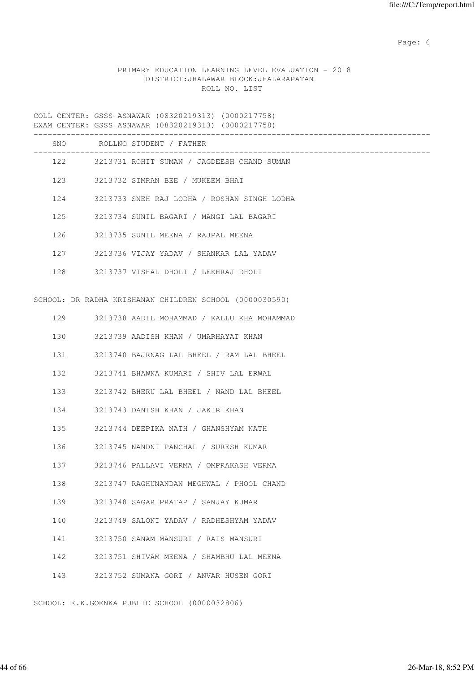Page: 6  $P$  and  $P$  and  $P$  and  $P$  and  $P$  and  $P$  and  $P$  and  $P$  and  $P$  and  $P$  and  $P$  and  $P$  and  $P$  and  $P$  and  $P$  and  $P$  and  $P$  and  $P$  and  $P$  and  $P$  and  $P$  and  $P$  and  $P$  and  $P$  and  $P$  and  $P$  and  $P$  an

# PRIMARY EDUCATION LEARNING LEVEL EVALUATION - 2018 DISTRICT:JHALAWAR BLOCK:JHALARAPATAN ROLL NO. LIST

COLL CENTER: GSSS ASNAWAR (08320219313) (0000217758) EXAM CENTER: GSSS ASNAWAR (08320219313) (0000217758)

|     |     | SNO ROLLNO STUDENT / FATHER                             |
|-----|-----|---------------------------------------------------------|
|     |     | 122 3213731 ROHIT SUMAN / JAGDEESH CHAND SUMAN          |
|     | 123 | 3213732 SIMRAN BEE / MUKEEM BHAI                        |
| 124 |     | 3213733 SNEH RAJ LODHA / ROSHAN SINGH LODHA             |
| 125 |     | 3213734 SUNIL BAGARI / MANGI LAL BAGARI                 |
|     |     | 126 3213735 SUNIL MEENA / RAJPAL MEENA                  |
|     |     | 127 3213736 VIJAY YADAV / SHANKAR LAL YADAV             |
|     |     | 128 3213737 VISHAL DHOLI / LEKHRAJ DHOLI                |
|     |     | SCHOOL: DR RADHA KRISHANAN CHILDREN SCHOOL (0000030590) |
|     |     | 129 3213738 AADIL MOHAMMAD / KALLU KHA MOHAMMAD         |
| 130 |     | 3213739 AADISH KHAN / UMARHAYAT KHAN                    |
| 131 |     | 3213740 BAJRNAG LAL BHEEL / RAM LAL BHEEL               |
| 132 |     | 3213741 BHAWNA KUMARI / SHIV LAL ERWAL                  |
| 133 |     | 3213742 BHERU LAL BHEEL / NAND LAL BHEEL                |
| 134 |     | 3213743 DANISH KHAN / JAKIR KHAN                        |
| 135 |     | 3213744 DEEPIKA NATH / GHANSHYAM NATH                   |
| 136 |     | 3213745 NANDNI PANCHAL / SURESH KUMAR                   |
| 137 |     | 3213746 PALLAVI VERMA / OMPRAKASH VERMA                 |
| 138 |     | 3213747 RAGHUNANDAN MEGHWAL / PHOOL CHAND               |
| 139 |     | 3213748 SAGAR PRATAP / SANJAY KUMAR                     |
| 140 |     | 3213749 SALONI YADAV / RADHESHYAM YADAV                 |
| 141 |     | 3213750 SANAM MANSURI / RAIS MANSURI                    |
| 142 |     | 3213751 SHIVAM MEENA / SHAMBHU LAL MEENA                |
| 143 |     | 3213752 SUMANA GORI / ANVAR HUSEN GORI                  |

SCHOOL: K.K.GOENKA PUBLIC SCHOOL (0000032806)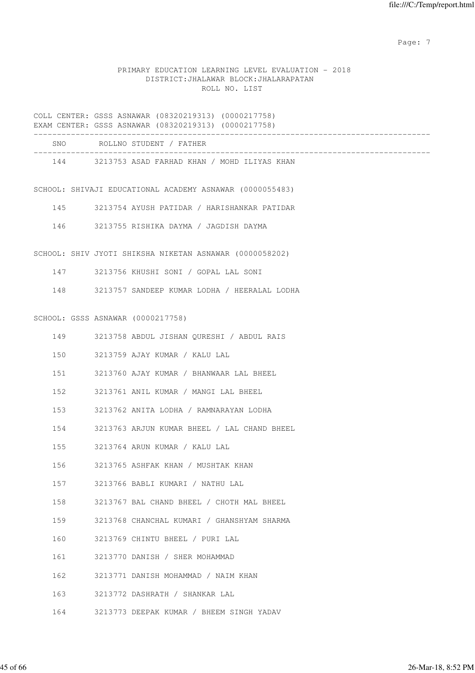Page: 7  $P$  and  $P$  and  $P$  and  $P$  and  $P$  and  $P$  and  $P$  and  $P$  and  $P$  and  $P$  and  $P$  and  $P$  and  $P$  and  $P$  and  $P$  and  $P$  and  $P$  and  $P$  and  $P$  and  $P$  and  $P$  and  $P$  and  $P$  and  $P$  and  $P$  and  $P$  and  $P$  an

# PRIMARY EDUCATION LEARNING LEVEL EVALUATION - 2018 DISTRICT:JHALAWAR BLOCK:JHALARAPATAN ROLL NO. LIST

|     | COLL CENTER: GSSS ASNAWAR (08320219313) (0000217758)<br>EXAM CENTER: GSSS ASNAWAR (08320219313) (0000217758)    |
|-----|-----------------------------------------------------------------------------------------------------------------|
|     | ,我们也不会有什么。""我们的人,我们也不会有什么?""我们的人,我们也不会有什么?""我们的人,我们也不会有什么?""我们的人,我们也不会有什么?""我们的人<br>SNO ROLLNO STUDENT / FATHER |
|     | 144 3213753 ASAD FARHAD KHAN / MOHD ILIYAS KHAN                                                                 |
|     | SCHOOL: SHIVAJI EDUCATIONAL ACADEMY ASNAWAR (0000055483)                                                        |
|     | 145<br>3213754 AYUSH PATIDAR / HARISHANKAR PATIDAR                                                              |
| 146 | 3213755 RISHIKA DAYMA / JAGDISH DAYMA                                                                           |
|     | SCHOOL: SHIV JYOTI SHIKSHA NIKETAN ASNAWAR (0000058202)                                                         |
|     | 147<br>3213756 KHUSHI SONI / GOPAL LAL SONI                                                                     |
| 148 | 3213757 SANDEEP KUMAR LODHA / HEERALAL LODHA                                                                    |
|     | SCHOOL: GSSS ASNAWAR (0000217758)                                                                               |
| 149 | 3213758 ABDUL JISHAN QURESHI / ABDUL RAIS                                                                       |
| 150 | 3213759 AJAY KUMAR / KALU LAL                                                                                   |
| 151 | 3213760 AJAY KUMAR / BHANWAAR LAL BHEEL                                                                         |
| 152 | 3213761 ANIL KUMAR / MANGI LAL BHEEL                                                                            |
| 153 | 3213762 ANITA LODHA / RAMNARAYAN LODHA                                                                          |
| 154 | 3213763 ARJUN KUMAR BHEEL / LAL CHAND BHEEL                                                                     |
| 155 | 3213764 ARUN KUMAR / KALU LAL                                                                                   |
| 156 | 3213765 ASHFAK KHAN / MUSHTAK KHAN                                                                              |
| 157 | 3213766 BABLI KUMARI / NATHU LAL                                                                                |
| 158 | 3213767 BAL CHAND BHEEL / CHOTH MAL BHEEL                                                                       |
| 159 | 3213768 CHANCHAL KUMARI / GHANSHYAM SHARMA                                                                      |
| 160 | 3213769 CHINTU BHEEL / PURI LAL                                                                                 |
| 161 | 3213770 DANISH / SHER MOHAMMAD                                                                                  |
| 162 | 3213771 DANISH MOHAMMAD / NAIM KHAN                                                                             |
| 163 | 3213772 DASHRATH / SHANKAR LAL                                                                                  |
| 164 | 3213773 DEEPAK KUMAR / BHEEM SINGH YADAV                                                                        |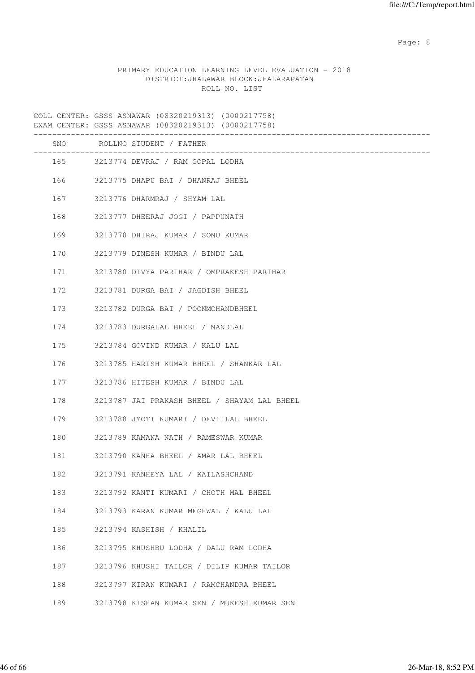en de la provincia de la provincia de la provincia de la provincia de la provincia de la provincia de la provi

# PRIMARY EDUCATION LEARNING LEVEL EVALUATION - 2018 DISTRICT:JHALAWAR BLOCK:JHALARAPATAN ROLL NO. LIST

COLL CENTER: GSSS ASNAWAR (08320219313) (0000217758) EXAM CENTER: GSSS ASNAWAR (08320219313) (0000217758) ------------------------------------------------------------------------------------- SNO ROLLNO STUDENT / FATHER ------------------------------------------------------------------------------------- 165 3213774 DEVRAJ / RAM GOPAL LODHA 166 3213775 DHAPU BAI / DHANRAJ BHEEL 167 3213776 DHARMRAJ / SHYAM LAL 168 3213777 DHEERAJ JOGI / PAPPUNATH 169 3213778 DHIRAJ KUMAR / SONU KUMAR 170 3213779 DINESH KUMAR / BINDU LAL 171 3213780 DIVYA PARIHAR / OMPRAKESH PARIHAR 172 3213781 DURGA BAI / JAGDISH BHEEL 173 3213782 DURGA BAI / POONMCHANDBHEEL 174 3213783 DURGALAL BHEEL / NANDLAL 175 3213784 GOVIND KUMAR / KALU LAL 176 3213785 HARISH KUMAR BHEEL / SHANKAR LAL 177 3213786 HITESH KUMAR / BINDU LAL 178 3213787 JAI PRAKASH BHEEL / SHAYAM LAL BHEEL 179 3213788 JYOTI KUMARI / DEVI LAL BHEEL 180 3213789 KAMANA NATH / RAMESWAR KUMAR 181 3213790 KANHA BHEEL / AMAR LAL BHEEL 182 3213791 KANHEYA LAL / KAILASHCHAND 183 3213792 KANTI KUMARI / CHOTH MAL BHEEL 184 3213793 KARAN KUMAR MEGHWAL / KALU LAL 185 3213794 KASHISH / KHALIL 186 3213795 KHUSHBU LODHA / DALU RAM LODHA 187 3213796 KHUSHI TAILOR / DILIP KUMAR TAILOR 188 3213797 KIRAN KUMARI / RAMCHANDRA BHEEL 189 3213798 KISHAN KUMAR SEN / MUKESH KUMAR SEN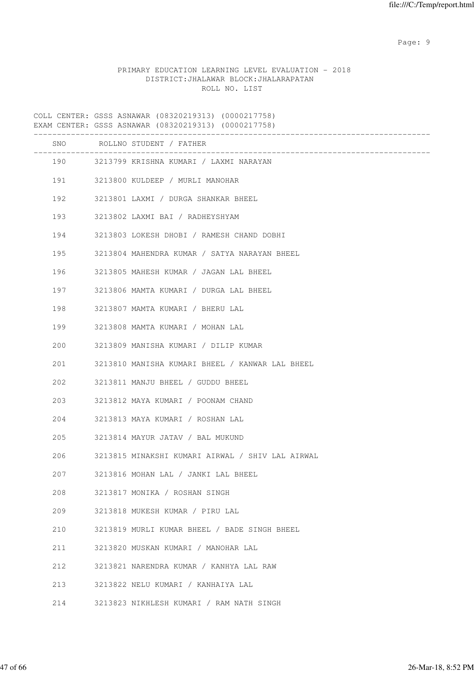en de la provincia de la provincia de la provincia de la provincia de la provincia de la provincia de la provi

# PRIMARY EDUCATION LEARNING LEVEL EVALUATION - 2018 DISTRICT:JHALAWAR BLOCK:JHALARAPATAN ROLL NO. LIST

COLL CENTER: GSSS ASNAWAR (08320219313) (0000217758) EXAM CENTER: GSSS ASNAWAR (08320219313) (0000217758) ------------------------------------------------------------------------------------- SNO ROLLNO STUDENT / FATHER ------------------------------------------------------------------------------------- 190 3213799 KRISHNA KUMARI / LAXMI NARAYAN 191 3213800 KULDEEP / MURLI MANOHAR 192 3213801 LAXMI / DURGA SHANKAR BHEEL 193 3213802 LAXMI BAI / RADHEYSHYAM 194 3213803 LOKESH DHOBI / RAMESH CHAND DOBHI 195 3213804 MAHENDRA KUMAR / SATYA NARAYAN BHEEL 196 3213805 MAHESH KUMAR / JAGAN LAL BHEEL 197 3213806 MAMTA KUMARI / DURGA LAL BHEEL 198 3213807 MAMTA KUMARI / BHERU LAL 199 3213808 MAMTA KUMARI / MOHAN LAL 200 3213809 MANISHA KUMARI / DILIP KUMAR 201 3213810 MANISHA KUMARI BHEEL / KANWAR LAL BHEEL 202 3213811 MANJU BHEEL / GUDDU BHEEL 203 3213812 MAYA KUMARI / POONAM CHAND 204 3213813 MAYA KUMARI / ROSHAN LAL 205 3213814 MAYUR JATAV / BAL MUKUND 206 3213815 MINAKSHI KUMARI AIRWAL / SHIV LAL AIRWAL 207 3213816 MOHAN LAL / JANKI LAL BHEEL 208 3213817 MONIKA / ROSHAN SINGH 209 3213818 MUKESH KUMAR / PIRU LAL 210 3213819 MURLI KUMAR BHEEL / BADE SINGH BHEEL 211 3213820 MUSKAN KUMARI / MANOHAR LAL 212 3213821 NARENDRA KUMAR / KANHYA LAL RAW 213 3213822 NELU KUMARI / KANHAIYA LAL 214 3213823 NIKHLESH KUMARI / RAM NATH SINGH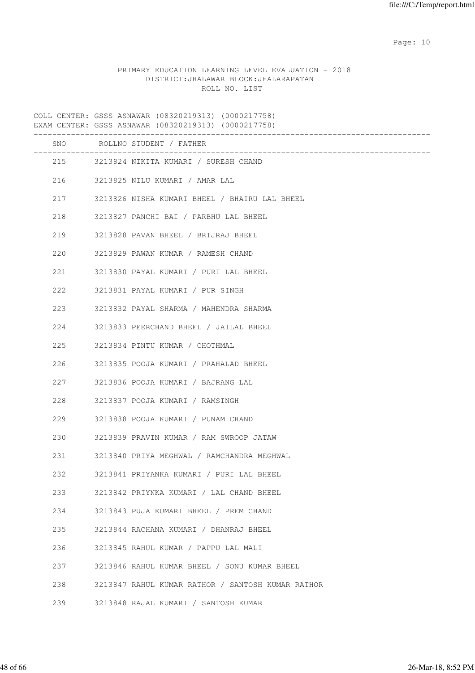# PRIMARY EDUCATION LEARNING LEVEL EVALUATION - 2018 DISTRICT:JHALAWAR BLOCK:JHALARAPATAN ROLL NO. LIST

|     | SNO ROLLNO STUDENT / FATHER<br>________________________ |
|-----|---------------------------------------------------------|
|     | 215 3213824 NIKITA KUMARI / SURESH CHAND                |
| 216 | 3213825 NILU KUMARI / AMAR LAL                          |
| 217 | 3213826 NISHA KUMARI BHEEL / BHAIRU LAL BHEEL           |
| 218 | 3213827 PANCHI BAI / PARBHU LAL BHEEL                   |
| 219 | 3213828 PAVAN BHEEL / BRIJRAJ BHEEL                     |
| 220 | 3213829 PAWAN KUMAR / RAMESH CHAND                      |
| 221 | 3213830 PAYAL KUMARI / PURI LAL BHEEL                   |
| 222 | 3213831 PAYAL KUMARI / PUR SINGH                        |
| 223 | 3213832 PAYAL SHARMA / MAHENDRA SHARMA                  |
| 224 | 3213833 PEERCHAND BHEEL / JAILAL BHEEL                  |
| 225 | 3213834 PINTU KUMAR / CHOTHMAL                          |
| 226 | 3213835 POOJA KUMARI / PRAHALAD BHEEL                   |
| 227 | 3213836 POOJA KUMARI / BAJRANG LAL                      |
| 228 | 3213837 POOJA KUMARI / RAMSINGH                         |
| 229 | 3213838 POOJA KUMARI / PUNAM CHAND                      |
| 230 | 3213839 PRAVIN KUMAR / RAM SWROOP JATAW                 |
| 231 | 3213840 PRIYA MEGHWAL / RAMCHANDRA MEGHWAL              |
| 232 | 3213841 PRIYANKA KUMARI / PURI LAL BHEEL                |
| 233 | 3213842 PRIYNKA KUMARI / LAL CHAND BHEEL                |
| 234 | 3213843 PUJA KUMARI BHEEL / PREM CHAND                  |
| 235 | 3213844 RACHANA KUMARI / DHANRAJ BHEEL                  |
| 236 | 3213845 RAHUL KUMAR / PAPPU LAL MALI                    |
| 237 | 3213846 RAHUL KUMAR BHEEL / SONU KUMAR BHEEL            |
| 238 | 3213847 RAHUL KUMAR RATHOR / SANTOSH KUMAR RATHOR       |
| 239 | 3213848 RAJAL KUMARI / SANTOSH KUMAR                    |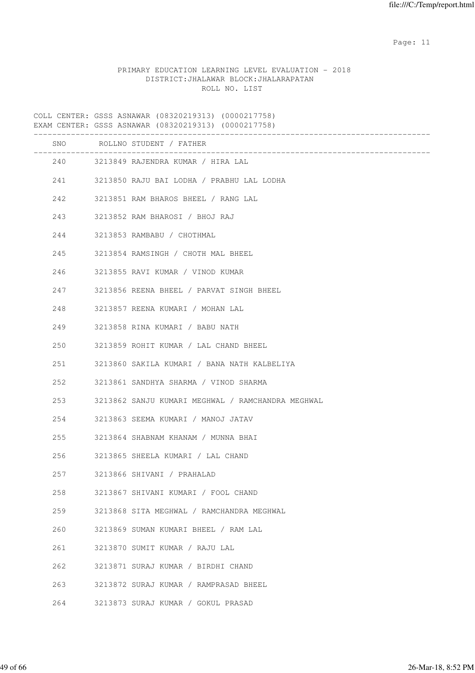# PRIMARY EDUCATION LEARNING LEVEL EVALUATION - 2018 DISTRICT:JHALAWAR BLOCK:JHALARAPATAN ROLL NO. LIST

|       | SNO ROLLNO STUDENT / FATHER                       |
|-------|---------------------------------------------------|
|       | 240 3213849 RAJENDRA KUMAR / HIRA LAL             |
|       | 241 3213850 RAJU BAI LODHA / PRABHU LAL LODHA     |
|       | 242 3213851 RAM BHAROS BHEEL / RANG LAL           |
| 243   | 3213852 RAM BHAROSI / BHOJ RAJ                    |
| 244   | 3213853 RAMBABU / CHOTHMAL                        |
| 245   | 3213854 RAMSINGH / CHOTH MAL BHEEL                |
|       | 246 3213855 RAVI KUMAR / VINOD KUMAR              |
|       | 247 3213856 REENA BHEEL / PARVAT SINGH BHEEL      |
|       | 248 3213857 REENA KUMARI / MOHAN LAL              |
| 249   | 3213858 RINA KUMARI / BABU NATH                   |
| 250   | 3213859 ROHIT KUMAR / LAL CHAND BHEEL             |
| 251   | 3213860 SAKILA KUMARI / BANA NATH KALBELIYA       |
|       | 252 3213861 SANDHYA SHARMA / VINOD SHARMA         |
| 253   | 3213862 SANJU KUMARI MEGHWAL / RAMCHANDRA MEGHWAL |
| 254   | 3213863 SEEMA KUMARI / MANOJ JATAV                |
| 255   | 3213864 SHABNAM KHANAM / MUNNA BHAI               |
| 256 7 | 3213865 SHEELA KUMARI / LAL CHAND                 |
| 257   | 3213866 SHIVANI / PRAHALAD                        |
| 258   | 3213867 SHIVANI KUMARI / FOOL CHAND               |
| 259   | 3213868 SITA MEGHWAL / RAMCHANDRA MEGHWAL         |
| 260   | 3213869 SUMAN KUMARI BHEEL / RAM LAL              |
| 261   | 3213870 SUMIT KUMAR / RAJU LAL                    |
| 262   | 3213871 SURAJ KUMAR / BIRDHI CHAND                |
| 263   | 3213872 SURAJ KUMAR / RAMPRASAD BHEEL             |
| 264   | 3213873 SURAJ KUMAR / GOKUL PRASAD                |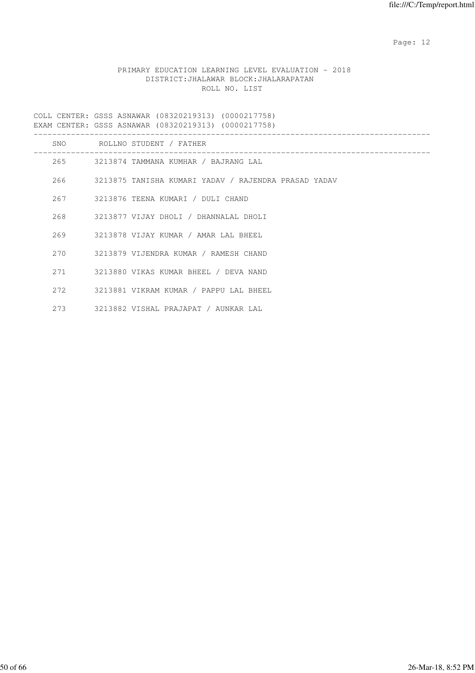# PRIMARY EDUCATION LEARNING LEVEL EVALUATION - 2018 DISTRICT:JHALAWAR BLOCK:JHALARAPATAN ROLL NO. LIST

| SNO  | ROLLNO STUDENT / FATHER                   |
|------|-------------------------------------------|
|      | 265 3213874 TAMMANA KUMHAR / BAJRANG LAL  |
|      |                                           |
| 267  | 3213876 TEENA KUMARI / DULI CHAND         |
|      | 268 3213877 VIJAY DHOLI / DHANNALAL DHOLI |
| 269  | 3213878 VIJAY KUMAR / AMAR LAL BHEEL      |
|      | 270 3213879 VIJENDRA KUMAR / RAMESH CHAND |
| 2.71 | 3213880 VIKAS KUMAR BHEEL / DEVA NAND     |
| 272  | 3213881 VIKRAM KUMAR / PAPPU LAL BHEEL    |
| 273  | 3213882 VISHAL PRAJAPAT / AUNKAR LAL      |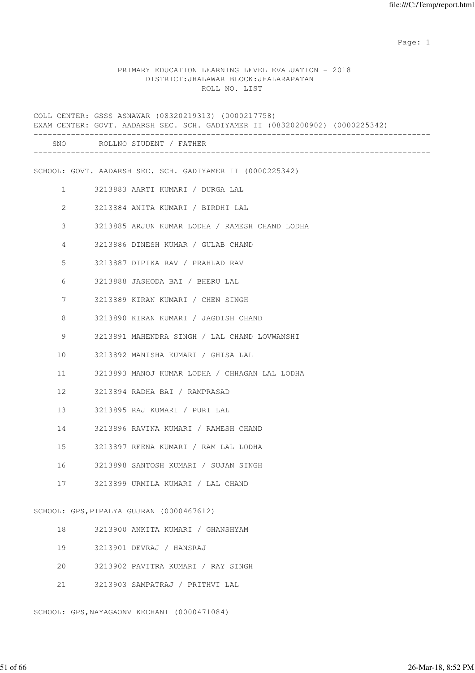#### PRIMARY EDUCATION LEARNING LEVEL EVALUATION - 2018 DISTRICT:JHALAWAR BLOCK:JHALARAPATAN ROLL NO. LIST

COLL CENTER: GSSS ASNAWAR (08320219313) (0000217758) EXAM CENTER: GOVT. AADARSH SEC. SCH. GADIYAMER II (08320200902) (0000225342) ------------------------------------------------------------------------------------- SNO ROLLNO STUDENT / FATHER ------------------------------------------------------------------------------------- SCHOOL: GOVT. AADARSH SEC. SCH. GADIYAMER II (0000225342) 1 3213883 AARTI KUMARI / DURGA LAL 2 3213884 ANITA KUMARI / BIRDHI LAL 3 3213885 ARJUN KUMAR LODHA / RAMESH CHAND LODHA 4 3213886 DINESH KUMAR / GULAB CHAND 5 3213887 DIPIKA RAV / PRAHLAD RAV 6 3213888 JASHODA BAI / BHERU LAL 7 3213889 KIRAN KUMARI / CHEN SINGH 8 3213890 KIRAN KUMARI / JAGDISH CHAND 9 3213891 MAHENDRA SINGH / LAL CHAND LOVWANSHI 10 3213892 MANISHA KUMARI / GHISA LAL 11 3213893 MANOJ KUMAR LODHA / CHHAGAN LAL LODHA 12 3213894 RADHA BAI / RAMPRASAD 13 3213895 RAJ KUMARI / PURI LAL 14 3213896 RAVINA KUMARI / RAMESH CHAND 15 3213897 REENA KUMARI / RAM LAL LODHA 16 3213898 SANTOSH KUMARI / SUJAN SINGH 17 3213899 URMILA KUMARI / LAL CHAND SCHOOL: GPS,PIPALYA GUJRAN (0000467612) 18 3213900 ANKITA KUMARI / GHANSHYAM 19 3213901 DEVRAJ / HANSRAJ 20 3213902 PAVITRA KUMARI / RAY SINGH

21 3213903 SAMPATRAJ / PRITHVI LAL

SCHOOL: GPS,NAYAGAONV KECHANI (0000471084)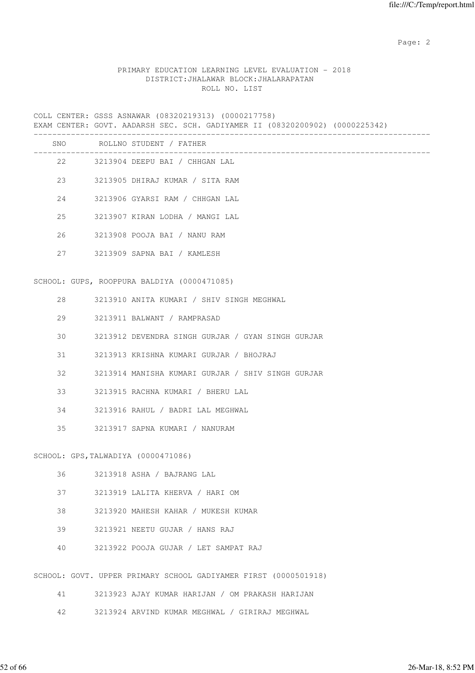# PRIMARY EDUCATION LEARNING LEVEL EVALUATION - 2018 DISTRICT:JHALAWAR BLOCK:JHALARAPATAN ROLL NO. LIST

COLL CENTER: GSSS ASNAWAR (08320219313) (0000217758) EXAM CENTER: GOVT. AADARSH SEC. SCH. GADIYAMER II (08320200902) (0000225342) -------------------------------------------------------------------------------------

| SNO |      | ROLLNO STUDENT / FATHER                                         |
|-----|------|-----------------------------------------------------------------|
|     | 22 3 | 3213904 DEEPU BAI / CHHGAN LAL                                  |
|     | 23   | 3213905 DHIRAJ KUMAR / SITA RAM                                 |
| 24  |      | 3213906 GYARSI RAM / CHHGAN LAL                                 |
| 25  |      | 3213907 KIRAN LODHA / MANGI LAL                                 |
| 26  |      | 3213908 POOJA BAI / NANU RAM                                    |
| 27  |      | 3213909 SAPNA BAI / KAMLESH                                     |
|     |      | SCHOOL: GUPS, ROOPPURA BALDIYA (0000471085)                     |
| 28  |      | 3213910 ANITA KUMARI / SHIV SINGH MEGHWAL                       |
| 29  |      | 3213911 BALWANT / RAMPRASAD                                     |
| 30  |      | 3213912 DEVENDRA SINGH GURJAR / GYAN SINGH GURJAR               |
| 31  |      | 3213913 KRISHNA KUMARI GURJAR / BHOJRAJ                         |
| 32  |      | 3213914 MANISHA KUMARI GURJAR / SHIV SINGH GURJAR               |
| 33  |      | 3213915 RACHNA KUMARI / BHERU LAL                               |
| 34  |      | 3213916 RAHUL / BADRI LAL MEGHWAL                               |
| 35  |      | 3213917 SAPNA KUMARI / NANURAM                                  |
|     |      | SCHOOL: GPS, TALWADIYA (0000471086)                             |
| 36  |      | 3213918 ASHA / BAJRANG LAL                                      |
| 37  |      | 3213919 LALITA KHERVA / HARI OM                                 |
| 38  |      | 3213920 MAHESH KAHAR / MUKESH KUMAR                             |
| 39  |      | 3213921 NEETU GUJAR / HANS RAJ                                  |
| 40  |      | 3213922 POOJA GUJAR / LET SAMPAT RAJ                            |
|     |      | SCHOOL: GOVT. UPPER PRIMARY SCHOOL GADIYAMER FIRST (0000501918) |
| 41  |      | 3213923 AJAY KUMAR HARIJAN / OM PRAKASH HARIJAN                 |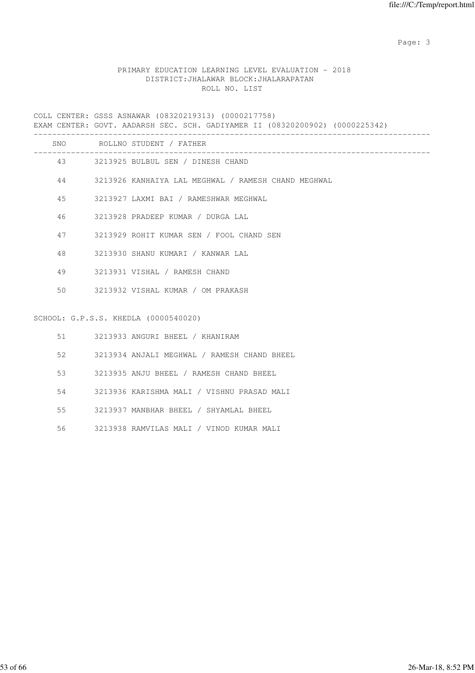# PRIMARY EDUCATION LEARNING LEVEL EVALUATION - 2018 DISTRICT:JHALAWAR BLOCK:JHALARAPATAN ROLL NO. LIST

COLL CENTER: GSSS ASNAWAR (08320219313) (0000217758) EXAM CENTER: GOVT. AADARSH SEC. SCH. GADIYAMER II (08320200902) (0000225342)

|    |    | SNO ROLLNO STUDENT / FATHER                         |
|----|----|-----------------------------------------------------|
|    |    | 43 3213925 BULBUL SEN / DINESH CHAND                |
| 44 |    | 3213926 KANHAIYA LAL MEGHWAL / RAMESH CHAND MEGHWAL |
| 45 |    | 3213927 LAXMI BAI / RAMESHWAR MEGHWAL               |
| 46 |    | 3213928 PRADEEP KUMAR / DURGA LAL                   |
|    | 47 | 3213929 ROHIT KUMAR SEN / FOOL CHAND SEN            |
| 48 |    | 3213930 SHANU KUMARI / KANWAR LAL                   |
| 49 |    | 3213931 VISHAL / RAMESH CHAND                       |
| 50 |    | 3213932 VISHAL KUMAR / OM PRAKASH                   |
|    |    |                                                     |
|    |    | SCHOOL: G.P.S.S. KHEDLA (0000540020)                |
|    |    | 51 3213933 ANGURI BHEEL / KHANIRAM                  |
| 52 |    | 3213934 ANJALI MEGHWAL / RAMESH CHAND BHEEL         |
| 53 |    | 3213935 ANJU BHEEL / RAMESH CHAND BHEEL             |

54 3213936 KARISHMA MALI / VISHNU PRASAD MALI

55 3213937 MANBHAR BHEEL / SHYAMLAL BHEEL

56 3213938 RAMVILAS MALI / VINOD KUMAR MALI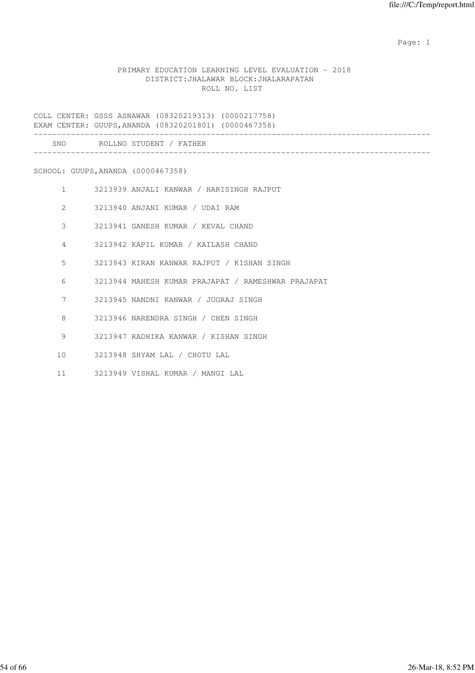# PRIMARY EDUCATION LEARNING LEVEL EVALUATION - 2018 DISTRICT:JHALAWAR BLOCK:JHALARAPATAN ROLL NO. LIST

COLL CENTER: GSSS ASNAWAR (08320219313) (0000217758) EXAM CENTER: GUUPS,ANANDA (08320201801) (0000467358) ------------------------------------------------------------------------------------- SNO ROLLNO STUDENT / FATHER

-------------------------------------------------------------------------------------

SCHOOL: GUUPS,ANANDA (0000467358)

- 1 3213939 ANJALI KANWAR / HARISINGH RAJPUT
- 2 3213940 ANJANI KUMAR / UDAI RAM
- 3 3213941 GANESH KUMAR / KEVAL CHAND
- 4 3213942 KAPIL KUMAR / KAILASH CHAND
- 5 3213943 KIRAN KANWAR RAJPUT / KISHAN SINGH
- 6 3213944 MAHESH KUMAR PRAJAPAT / RAMESHWAR PRAJAPAT
- 7 3213945 NANDNI KANWAR / JUGRAJ SINGH
- 8 3213946 NARENDRA SINGH / CHEN SINGH
- 9 3213947 RADHIKA KANWAR / KISHAN SINGH
- 10 3213948 SHYAM LAL / CHOTU LAL
- 11 3213949 VISHAL KUMAR / MANGI LAL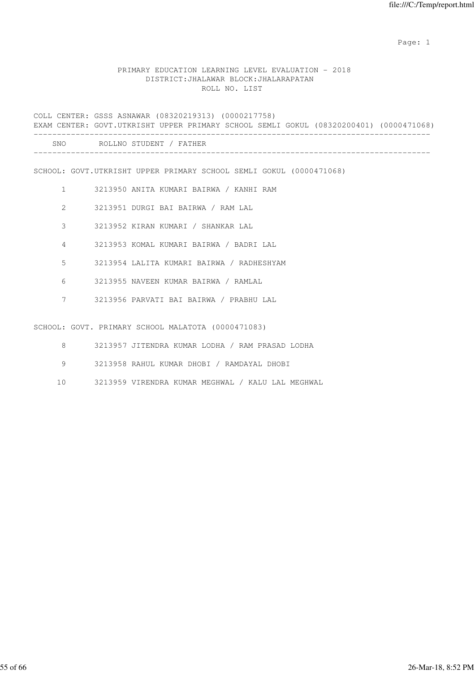## PRIMARY EDUCATION LEARNING LEVEL EVALUATION - 2018 DISTRICT:JHALAWAR BLOCK:JHALARAPATAN ROLL NO. LIST

COLL CENTER: GSSS ASNAWAR (08320219313) (0000217758) EXAM CENTER: GOVT.UTKRISHT UPPER PRIMARY SCHOOL SEMLI GOKUL (08320200401) (0000471068) ------------------------------------------------------------------------------------- SNO ROLLNO STUDENT / FATHER ------------------------------------------------------------------------------------- SCHOOL: GOVT.UTKRISHT UPPER PRIMARY SCHOOL SEMLI GOKUL (0000471068) 1 3213950 ANITA KUMARI BAIRWA / KANHI RAM 2 3213951 DURGI BAI BAIRWA / RAM LAL 3 3213952 KIRAN KUMARI / SHANKAR LAL 4 3213953 KOMAL KUMARI BAIRWA / BADRI LAL 5 3213954 LALITA KUMARI BAIRWA / RADHESHYAM 6 3213955 NAVEEN KUMAR BAIRWA / RAMLAL 7 3213956 PARVATI BAI BAIRWA / PRABHU LAL SCHOOL: GOVT. PRIMARY SCHOOL MALATOTA (0000471083) 8 3213957 JITENDRA KUMAR LODHA / RAM PRASAD LODHA

- 9 3213958 RAHUL KUMAR DHOBI / RAMDAYAL DHOBI
- 10 3213959 VIRENDRA KUMAR MEGHWAL / KALU LAL MEGHWAL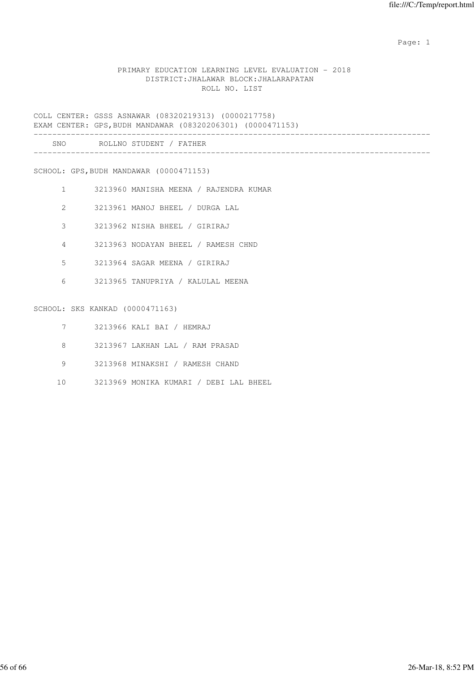# PRIMARY EDUCATION LEARNING LEVEL EVALUATION - 2018 DISTRICT:JHALAWAR BLOCK:JHALARAPATAN ROLL NO. LIST

COLL CENTER: GSSS ASNAWAR (08320219313) (0000217758) EXAM CENTER: GPS,BUDH MANDAWAR (08320206301) (0000471153)

| SNC | D∩T<br>-NO<br>דורדיה<br>and the contract<br>. |  |
|-----|-----------------------------------------------|--|
|     |                                               |  |

SCHOOL: GPS,BUDH MANDAWAR (0000471153)

- 1 3213960 MANISHA MEENA / RAJENDRA KUMAR
- 2 3213961 MANOJ BHEEL / DURGA LAL
- 3 3213962 NISHA BHEEL / GIRIRAJ
- 4 3213963 NODAYAN BHEEL / RAMESH CHND
- 5 3213964 SAGAR MEENA / GIRIRAJ
- 6 3213965 TANUPRIYA / KALULAL MEENA

#### SCHOOL: SKS KANKAD (0000471163)

- 7 3213966 KALI BAI / HEMRAJ
- 8 3213967 LAKHAN LAL / RAM PRASAD
- 9 3213968 MINAKSHI / RAMESH CHAND
- 10 3213969 MONIKA KUMARI / DEBI LAL BHEEL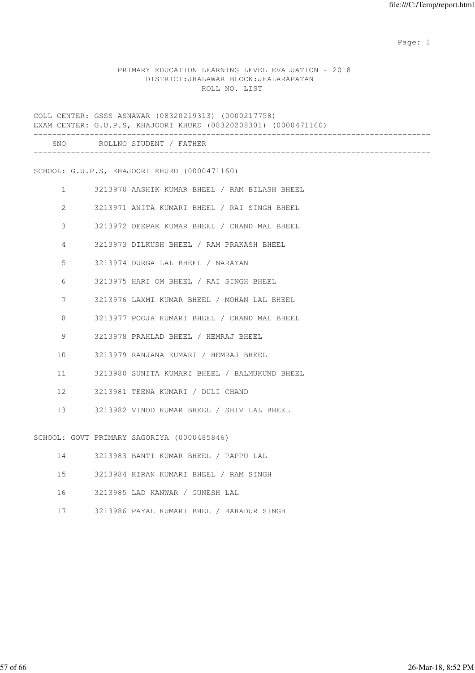### PRIMARY EDUCATION LEARNING LEVEL EVALUATION - 2018 DISTRICT:JHALAWAR BLOCK:JHALARAPATAN ROLL NO. LIST

COLL CENTER: GSSS ASNAWAR (08320219313) (0000217758) EXAM CENTER: G.U.P.S, KHAJOORI KHURD (08320208301) (0000471160) ------------------------------------------------------------------------------------- SNO ROLLNO STUDENT / FATHER ------------------------------------------------------------------------------------- SCHOOL: G.U.P.S, KHAJOORI KHURD (0000471160) 1 3213970 AASHIK KUMAR BHEEL / RAM BILASH BHEEL 2 3213971 ANITA KUMARI BHEEL / RAI SINGH BHEEL 3 3213972 DEEPAK KUMAR BHEEL / CHAND MAL BHEEL 4 3213973 DILKUSH BHEEL / RAM PRAKASH BHEEL 5 3213974 DURGA LAL BHEEL / NARAYAN 6 3213975 HARI OM BHEEL / RAI SINGH BHEEL 7 3213976 LAXMI KUMAR BHEEL / MOHAN LAL BHEEL 8 3213977 POOJA KUMARI BHEEL / CHAND MAL BHEEL 9 3213978 PRAHLAD BHEEL / HEMRAJ BHEEL 10 3213979 RANJANA KUMARI / HEMRAJ BHEEL 11 3213980 SUNITA KUMARI BHEEL / BALMUKUND BHEEL 12 3213981 TEENA KUMARI / DULI CHAND 13 3213982 VINOD KUMAR BHEEL / SHIV LAL BHEEL SCHOOL: GOVT PRIMARY SAGORIYA (0000485846) 14 3213983 BANTI KUMAR BHEEL / PAPPU LAL 15 3213984 KIRAN KUMARI BHEEL / RAM SINGH

- 16 3213985 LAD KANWAR / GUNESH LAL
- 17 3213986 PAYAL KUMARI BHEL / BAHADUR SINGH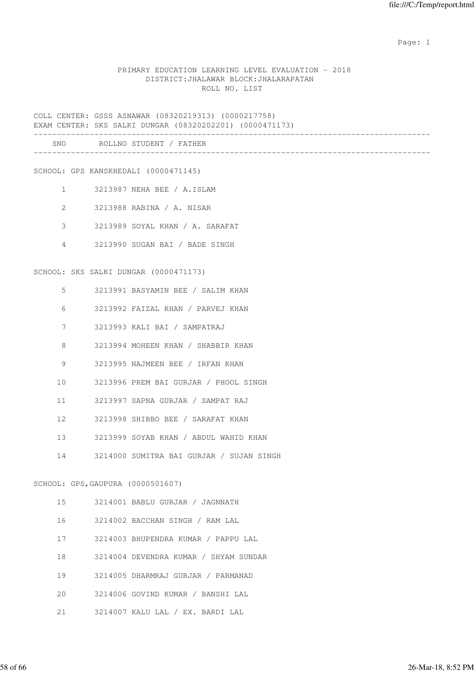### PRIMARY EDUCATION LEARNING LEVEL EVALUATION - 2018 DISTRICT:JHALAWAR BLOCK:JHALARAPATAN ROLL NO. LIST

COLL CENTER: GSSS ASNAWAR (08320219313) (0000217758) EXAM CENTER: SKS SALKI DUNGAR (08320202201) (0000471173) ------------------------------------------------------------------------------------- SNO ROLLNO STUDENT / FATHER ------------------------------------------------------------------------------------- SCHOOL: GPS KANSKHEDALI (0000471145) 1 3213987 NEHA BEE / A.ISLAM 2 3213988 RABINA / A. NISAR 3 3213989 SOYAL KHAN / A. SARAFAT 4 3213990 SUGAN BAI / BADE SINGH SCHOOL: SKS SALKI DUNGAR (0000471173) 5 3213991 BASYAMIN BEE / SALIM KHAN 6 3213992 FAIZAL KHAN / PARVEJ KHAN 7 3213993 KALI BAI / SAMPATRAJ 8 3213994 MOHEEN KHAN / SHABBIR KHAN 9 3213995 NAJMEEN BEE / IRFAN KHAN 10 3213996 PREM BAI GURJAR / PHOOL SINGH 11 3213997 SAPNA GURJAR / SAMPAT RAJ 12 3213998 SHIBBO BEE / SARAFAT KHAN 13 3213999 SOYAB KHAN / ABDUL WAHID KHAN 14 3214000 SUMITRA BAI GURJAR / SUJAN SINGH SCHOOL: GPS,GAUPURA (0000501607) 15 3214001 BABLU GURJAR / JAGNNATH 16 3214002 BACCHAN SINGH / RAM LAL 17 3214003 BHUPENDRA KUMAR / PAPPU LAL 18 3214004 DEVENDRA KUMAR / SHYAM SUNDAR 19 3214005 DHARMRAJ GURJAR / PARMANAD 20 3214006 GOVIND KUMAR / BANSHI LAL

21 3214007 KALU LAL / EX. BARDI LAL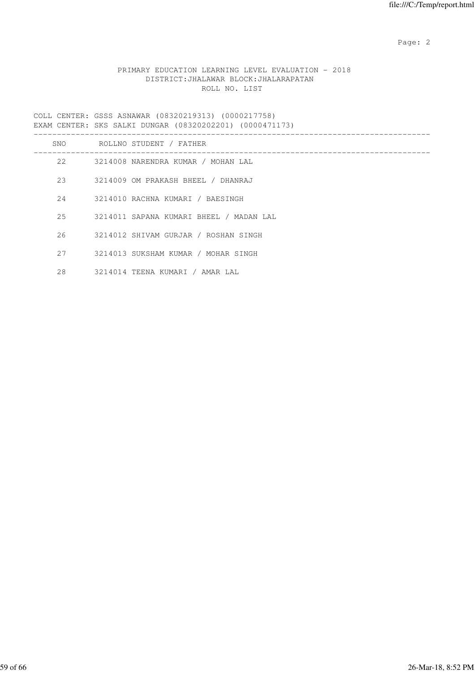# PRIMARY EDUCATION LEARNING LEVEL EVALUATION - 2018 DISTRICT:JHALAWAR BLOCK:JHALARAPATAN ROLL NO. LIST

COLL CENTER: GSSS ASNAWAR (08320219313) (0000217758) EXAM CENTER: SKS SALKI DUNGAR (08320202201) (0000471173)

| SNO | ROLLNO STUDENT / FATHER                 |
|-----|-----------------------------------------|
| 2.2 | 3214008 NARENDRA KUMAR / MOHAN LAL      |
| 2.3 | 3214009 OM PRAKASH BHEEL / DHANRAJ      |
| 2.4 | 3214010 RACHNA KUMARI / BAESINGH        |
| 25  | 3214011 SAPANA KUMARI BHEEL / MADAN LAL |
| 26  | 3214012 SHIVAM GURJAR / ROSHAN SINGH    |
| 27  | 3214013 SUKSHAM KUMAR / MOHAR SINGH     |
| 28  | 3214014 TEENA KUMARI / AMAR LAL         |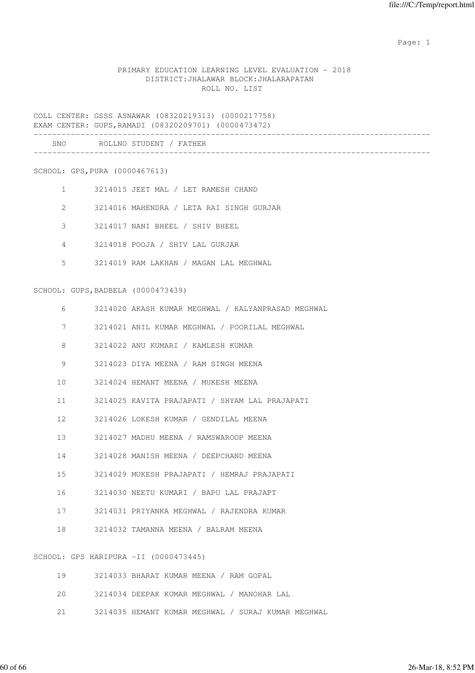# PRIMARY EDUCATION LEARNING LEVEL EVALUATION - 2018 DISTRICT:JHALAWAR BLOCK:JHALARAPATAN ROLL NO. LIST

COLL CENTER: GSSS ASNAWAR (08320219313) (0000217758) EXAM CENTER: GUPS,RAMADI (08320209701) (0000473472)

| SNC | ROLLNO STUDENT<br>. L<br>, _, _, _, _, |  |
|-----|----------------------------------------|--|
|     |                                        |  |

SCHOOL: GPS,PURA (0000467613)

- 1 3214015 JEET MAL / LET RAMESH CHAND
- 2 3214016 MAHENDRA / LETA RAI SINGH GURJAR
- 3 3214017 NANI BHEEL / SHIV BHEEL
- 4 3214018 POOJA / SHIV LAL GURJAR
- 5 3214019 RAM LAKHAN / MAGAN LAL MEGHWAL

SCHOOL: GUPS,BADBELA (0000473439)

| 6  | 3214020 AKASH KUMAR MEGHWAL / KALYANPRASAD MEGHWAL |
|----|----------------------------------------------------|
| 7  | 3214021 ANIL KUMAR MEGHWAL / POORILAL MEGHWAL      |
| 8  | 3214022 ANU KUMARI / KAMLESH KUMAR                 |
| 9  | 3214023 DIYA MEENA / RAM SINGH MEENA               |
|    | 10 3214024 HEMANT MEENA / MUKESH MEENA             |
|    | 11 3214025 KAVITA PRAJAPATI / SHYAM LAL PRAJAPATI  |
| 12 | 3214026 LOKESH KUMAR / GENDILAL MEENA              |
|    | 13 3214027 MADHU MEENA / RAMSWAROOP MEENA          |
|    | 14 3214028 MANISH MEENA / DEEPCHAND MEENA          |
|    | 15 3214029 MUKESH PRAJAPATI / HEMRAJ PRAJAPATI     |
|    | 16 3214030 NEETU KUMARI / BAPU LAL PRAJAPT         |
|    | 17 3214031 PRIYANKA MEGHWAL / RAJENDRA KUMAR       |
|    | 18 3214032 TAMANNA MEENA / BALRAM MEENA            |
|    |                                                    |
|    | SCHOOL: GPS HARIPURA -II (0000473445)              |
|    | 19 3214033 BHARAT KUMAR MEENA / RAM GOPAL          |
|    |                                                    |

- 20 3214034 DEEPAK KUMAR MEGHWAL / MANOHAR LAL
- 21 3214035 HEMANT KUMAR MEGHWAL / SURAJ KUMAR MEGHWAL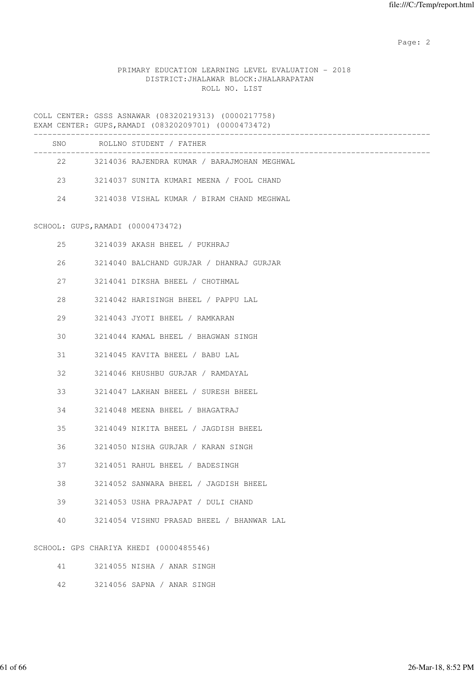# PRIMARY EDUCATION LEARNING LEVEL EVALUATION - 2018 DISTRICT:JHALAWAR BLOCK:JHALARAPATAN ROLL NO. LIST

COLL CENTER: GSSS ASNAWAR (08320219313) (0000217758) EXAM CENTER: GUPS,RAMADI (08320209701) (0000473472)

|    | LAAM CLINILA. GUFS, AAMADI (00320203701) (0000473472) |
|----|-------------------------------------------------------|
|    | SNO ROLLNO STUDENT / FATHER                           |
|    | 22 3214036 RAJENDRA KUMAR / BARAJMOHAN MEGHWAL        |
|    | 23 3214037 SUNITA KUMARI MEENA / FOOL CHAND           |
|    | 24 3214038 VISHAL KUMAR / BIRAM CHAND MEGHWAL         |
|    | SCHOOL: GUPS, RAMADI (0000473472)                     |
| 25 | 3214039 AKASH BHEEL / PUKHRAJ                         |
| 26 | 3214040 BALCHAND GURJAR / DHANRAJ GURJAR              |
| 27 | 3214041 DIKSHA BHEEL / CHOTHMAL                       |
| 28 | 3214042 HARISINGH BHEEL / PAPPU LAL                   |
| 29 | 3214043 JYOTI BHEEL / RAMKARAN                        |
| 30 | 3214044 KAMAL BHEEL / BHAGWAN SINGH                   |
| 31 | 3214045 KAVITA BHEEL / BABU LAL                       |
| 32 | 3214046 KHUSHBU GURJAR / RAMDAYAL                     |
| 33 | 3214047 LAKHAN BHEEL / SURESH BHEEL                   |
| 34 | 3214048 MEENA BHEEL / BHAGATRAJ                       |
| 35 | 3214049 NIKITA BHEEL / JAGDISH BHEEL                  |
| 36 | 3214050 NISHA GURJAR / KARAN SINGH                    |
| 37 | 3214051 RAHUL BHEEL / BADESINGH                       |
| 38 | 3214052 SANWARA BHEEL / JAGDISH BHEEL                 |
| 39 | 3214053 USHA PRAJAPAT / DULI CHAND                    |
| 40 | 3214054 VISHNU PRASAD BHEEL / BHANWAR LAL             |
|    | SCHOOL: GPS CHARIYA KHEDI (0000485546)                |

| 3214055 NISHA / ANAR SINGH |  |  |
|----------------------------|--|--|
|                            |  |  |

42 3214056 SAPNA / ANAR SINGH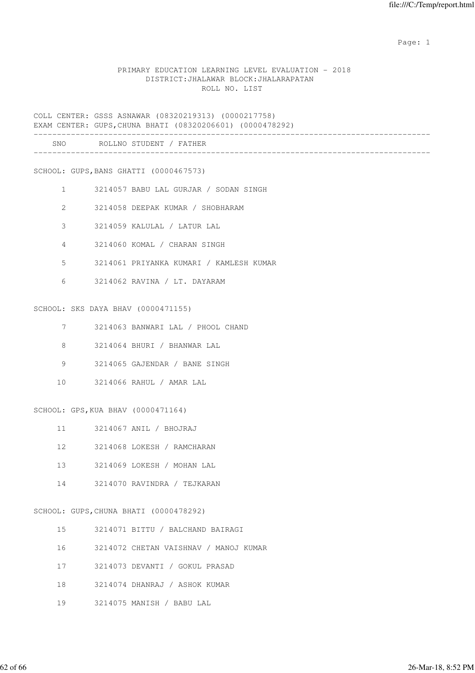### PRIMARY EDUCATION LEARNING LEVEL EVALUATION - 2018 DISTRICT:JHALAWAR BLOCK:JHALARAPATAN ROLL NO. LIST

COLL CENTER: GSSS ASNAWAR (08320219313) (0000217758) EXAM CENTER: GUPS,CHUNA BHATI (08320206601) (0000478292) ------------------------------------------------------------------------------------- SNO ROLLNO STUDENT / FATHER

-------------------------------------------------------------------------------------

SCHOOL: GUPS,BANS GHATTI (0000467573)

- 1 3214057 BABU LAL GURJAR / SODAN SINGH
- 2 3214058 DEEPAK KUMAR / SHOBHARAM
- 3 3214059 KALULAL / LATUR LAL
- 4 3214060 KOMAL / CHARAN SINGH
- 5 3214061 PRIYANKA KUMARI / KAMLESH KUMAR
- 6 3214062 RAVINA / LT. DAYARAM

#### SCHOOL: SKS DAYA BHAV (0000471155)

- 7 3214063 BANWARI LAL / PHOOL CHAND
- 8 3214064 BHURI / BHANWAR LAL
- 9 3214065 GAJENDAR / BANE SINGH
- 10 3214066 RAHUL / AMAR LAL

# SCHOOL: GPS,KUA BHAV (0000471164)

- 11 3214067 ANIL / BHOJRAJ
- 12 3214068 LOKESH / RAMCHARAN
- 13 3214069 LOKESH / MOHAN LAL
- 14 3214070 RAVINDRA / TEJKARAN

#### SCHOOL: GUPS,CHUNA BHATI (0000478292)

- 15 3214071 BITTU / BALCHAND BAIRAGI
- 16 3214072 CHETAN VAISHNAV / MANOJ KUMAR
- 17 3214073 DEVANTI / GOKUL PRASAD
- 18 3214074 DHANRAJ / ASHOK KUMAR
- 19 3214075 MANISH / BABU LAL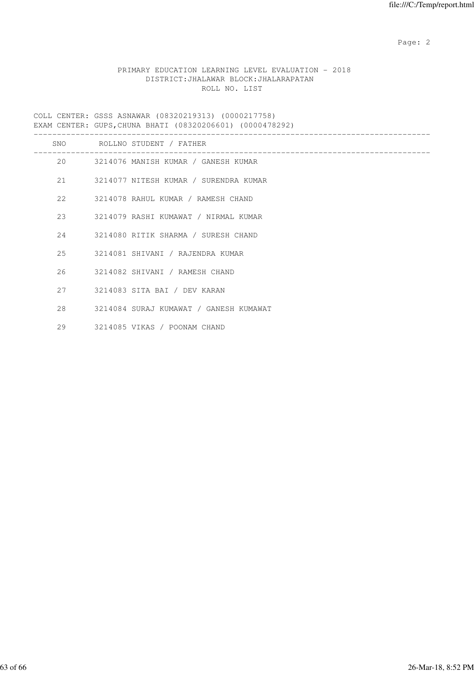# PRIMARY EDUCATION LEARNING LEVEL EVALUATION - 2018 DISTRICT:JHALAWAR BLOCK:JHALARAPATAN ROLL NO. LIST

COLL CENTER: GSSS ASNAWAR (08320219313) (0000217758) EXAM CENTER: GUPS,CHUNA BHATI (08320206601) (0000478292)

|    |    | SNO ROLLNO STUDENT / FATHER              |
|----|----|------------------------------------------|
|    |    | 20 3214076 MANISH KUMAR / GANESH KUMAR   |
|    |    | 21 3214077 NITESH KUMAR / SURENDRA KUMAR |
|    |    | 22 3214078 RAHUL KUMAR / RAMESH CHAND    |
|    |    | 23 3214079 RASHI KUMAWAT / NIRMAL KUMAR  |
|    |    | 24 3214080 RITIK SHARMA / SURESH CHAND   |
|    |    | 25 3214081 SHIVANI / RAJENDRA KUMAR      |
|    |    | 26 3214082 SHIVANI / RAMESH CHAND        |
|    | 27 | 3214083 SITA BAI / DEV KARAN             |
|    | 28 | 3214084 SURAJ KUMAWAT / GANESH KUMAWAT   |
| 29 |    | 3214085 VIKAS / POONAM CHAND             |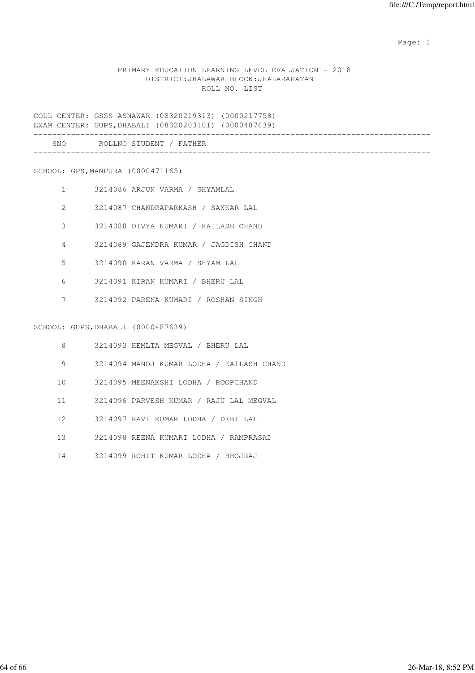# PRIMARY EDUCATION LEARNING LEVEL EVALUATION - 2018 DISTRICT:JHALAWAR BLOCK:JHALARAPATAN ROLL NO. LIST

COLL CENTER: GSSS ASNAWAR (08320219313) (0000217758) EXAM CENTER: GUPS,DHABALI (08320203101) (0000487639) ------------------------------------------------------------------------------------- SNO ROLLNO STUDENT / FATHER -------------------------------------------------------------------------------------

SCHOOL: GPS,MANPURA (0000471165)

- 1 3214086 ARJUN VARMA / SHYAMLAL
- 2 3214087 CHANDRAPARKASH / SANKAR LAL
- 3 3214088 DIVYA KUMARI / KAILASH CHAND
- 4 3214089 GAJENDRA KUMAR / JAGDISH CHAND
- 5 3214090 KARAN VARMA / SHYAM LAL
- 6 3214091 KIRAN KUMARI / BHERU LAL
- 7 3214092 PARENA KUMARI / ROSHAN SINGH

SCHOOL: GUPS,DHABALI (0000487639)

| 8  | 3214093 HEMLTA MEGVAL / BHERU LAL         |
|----|-------------------------------------------|
| 9  | 3214094 MANOJ KUMAR LODHA / KAILASH CHAND |
| 10 | 3214095 MEENAKSHI LODHA / ROOPCHAND       |
| 11 | 3214096 PARVESH KUMAR / RAJU LAL MEGVAL   |
| 12 | 3214097 RAVI KUMAR LODHA / DEBI LAL       |
| 13 | 3214098 REENA KUMARI LODHA / RAMPRASAD    |
| 14 | 3214099 ROHIT KUMAR LODHA / BHOJRAJ       |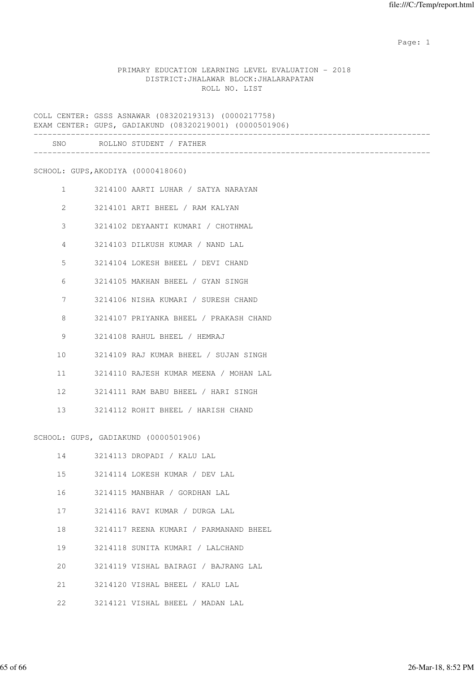### PRIMARY EDUCATION LEARNING LEVEL EVALUATION - 2018 DISTRICT:JHALAWAR BLOCK:JHALARAPATAN ROLL NO. LIST

COLL CENTER: GSSS ASNAWAR (08320219313) (0000217758) EXAM CENTER: GUPS, GADIAKUND (08320219001) (0000501906) ------------------------------------------------------------------------------------- SNO ROLLNO STUDENT / FATHER ------------------------------------------------------------------------------------- SCHOOL: GUPS,AKODIYA (0000418060) 1 3214100 AARTI LUHAR / SATYA NARAYAN 2 3214101 ARTI BHEEL / RAM KALYAN 3 3214102 DEYAANTI KUMARI / CHOTHMAL 4 3214103 DILKUSH KUMAR / NAND LAL 5 3214104 LOKESH BHEEL / DEVI CHAND 6 3214105 MAKHAN BHEEL / GYAN SINGH 7 3214106 NISHA KUMARI / SURESH CHAND 8 3214107 PRIYANKA BHEEL / PRAKASH CHAND 9 3214108 RAHUL BHEEL / HEMRAJ 10 3214109 RAJ KUMAR BHEEL / SUJAN SINGH 11 3214110 RAJESH KUMAR MEENA / MOHAN LAL 12 3214111 RAM BABU BHEEL / HARI SINGH 13 3214112 ROHIT BHEEL / HARISH CHAND SCHOOL: GUPS, GADIAKUND (0000501906) 14 3214113 DROPADI / KALU LAL 15 3214114 LOKESH KUMAR / DEV LAL 16 3214115 MANBHAR / GORDHAN LAL 17 3214116 RAVI KUMAR / DURGA LAL

18 3214117 REENA KUMARI / PARMANAND BHEEL

19 3214118 SUNITA KUMARI / LALCHAND

20 3214119 VISHAL BAIRAGI / BAJRANG LAL

21 3214120 VISHAL BHEEL / KALU LAL

22 3214121 VISHAL BHEEL / MADAN LAL